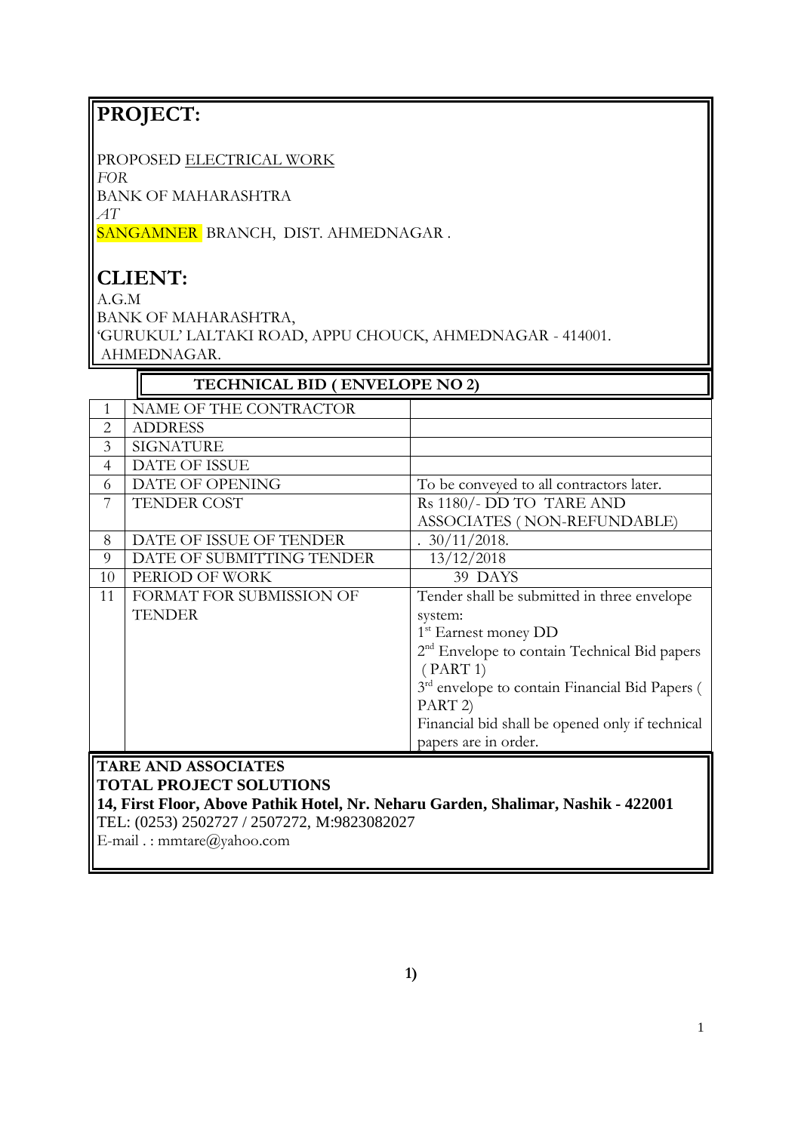# **PROJECT:**

PROPOSED ELECTRICAL WORK

*FOR*

BANK OF MAHARASHTRA

*AT* 

SANGAMNER BRANCH, DIST. AHMEDNAGAR.

# **CLIENT:**

A.G.M

BANK OF MAHARASHTRA,

'GURUKUL' LALTAKI ROAD, APPU CHOUCK, AHMEDNAGAR - 414001. AHMEDNAGAR.

|                                                                  | TECHNICAL BID (ENVELOPE NO 2)               |                                                                                   |  |  |  |  |
|------------------------------------------------------------------|---------------------------------------------|-----------------------------------------------------------------------------------|--|--|--|--|
| 1                                                                | NAME OF THE CONTRACTOR                      |                                                                                   |  |  |  |  |
| $\overline{2}$                                                   | <b>ADDRESS</b>                              |                                                                                   |  |  |  |  |
| 3                                                                | <b>SIGNATURE</b>                            |                                                                                   |  |  |  |  |
| $\overline{4}$                                                   | <b>DATE OF ISSUE</b>                        |                                                                                   |  |  |  |  |
| 6                                                                | DATE OF OPENING                             | To be conveyed to all contractors later.                                          |  |  |  |  |
| 7                                                                | <b>TENDER COST</b>                          | Rs 1180/- DD TO TARE AND                                                          |  |  |  |  |
|                                                                  |                                             | ASSOCIATES (NON-REFUNDABLE)                                                       |  |  |  |  |
| 8                                                                | DATE OF ISSUE OF TENDER                     | $30/11/2018$ .                                                                    |  |  |  |  |
| 9                                                                | DATE OF SUBMITTING TENDER                   | 13/12/2018                                                                        |  |  |  |  |
| 10                                                               | PERIOD OF WORK                              | 39 DAYS                                                                           |  |  |  |  |
| 11                                                               | FORMAT FOR SUBMISSION OF                    | Tender shall be submitted in three envelope                                       |  |  |  |  |
|                                                                  | <b>TENDER</b>                               | system:                                                                           |  |  |  |  |
|                                                                  |                                             | 1 <sup>st</sup> Earnest money DD                                                  |  |  |  |  |
|                                                                  |                                             | 2 <sup>nd</sup> Envelope to contain Technical Bid papers                          |  |  |  |  |
|                                                                  |                                             | (PART 1)                                                                          |  |  |  |  |
|                                                                  |                                             | 3rd envelope to contain Financial Bid Papers (<br>PART <sub>2</sub> )             |  |  |  |  |
|                                                                  |                                             | Financial bid shall be opened only if technical<br>papers are in order.           |  |  |  |  |
|                                                                  | <b>TARE AND ASSOCIATES</b>                  |                                                                                   |  |  |  |  |
|                                                                  | <b>TOTAL PROJECT SOLUTIONS</b>              |                                                                                   |  |  |  |  |
|                                                                  |                                             | 14, First Floor, Above Pathik Hotel, Nr. Neharu Garden, Shalimar, Nashik - 422001 |  |  |  |  |
|                                                                  | TEL: (0253) 2502727 / 2507272, M:9823082027 |                                                                                   |  |  |  |  |
| $\Gamma$ and $\Gamma$ is generated and $\Omega$ reads a solution |                                             |                                                                                   |  |  |  |  |

E-mail . : mmtare@yahoo.com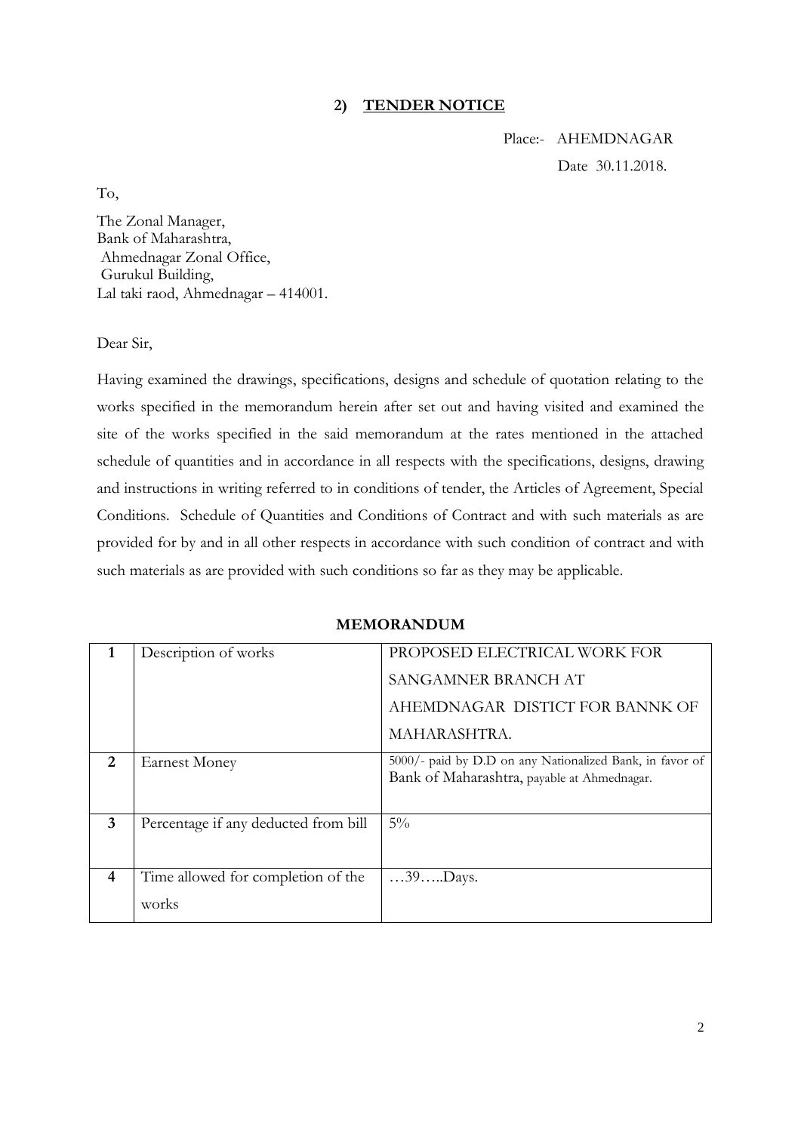# **2) TENDER NOTICE**

 Place:- AHEMDNAGAR Date 30.11.2018.

To,

The Zonal Manager, Bank of Maharashtra, Ahmednagar Zonal Office, Gurukul Building, Lal taki raod, Ahmednagar – 414001.

Dear Sir,

Having examined the drawings, specifications, designs and schedule of quotation relating to the works specified in the memorandum herein after set out and having visited and examined the site of the works specified in the said memorandum at the rates mentioned in the attached schedule of quantities and in accordance in all respects with the specifications, designs, drawing and instructions in writing referred to in conditions of tender, the Articles of Agreement, Special Conditions. Schedule of Quantities and Conditions of Contract and with such materials as are provided for by and in all other respects in accordance with such condition of contract and with such materials as are provided with such conditions so far as they may be applicable.

# **MEMORANDUM**

|   | Description of works                 | PROPOSED ELECTRICAL WORK FOR                                                                            |
|---|--------------------------------------|---------------------------------------------------------------------------------------------------------|
|   |                                      | SANGAMNER BRANCH AT                                                                                     |
|   |                                      | AHEMDNAGAR DISTICT FOR BANNK OF                                                                         |
|   |                                      | MAHARASHTRA.                                                                                            |
| 2 | <b>Earnest Money</b>                 | 5000/- paid by D.D on any Nationalized Bank, in favor of<br>Bank of Maharashtra, payable at Ahmednagar. |
| 3 | Percentage if any deducted from bill | $5\%$                                                                                                   |
| 4 | Time allowed for completion of the   | $\dots$ 39. $\dots$ Days.                                                                               |
|   | works                                |                                                                                                         |
|   |                                      |                                                                                                         |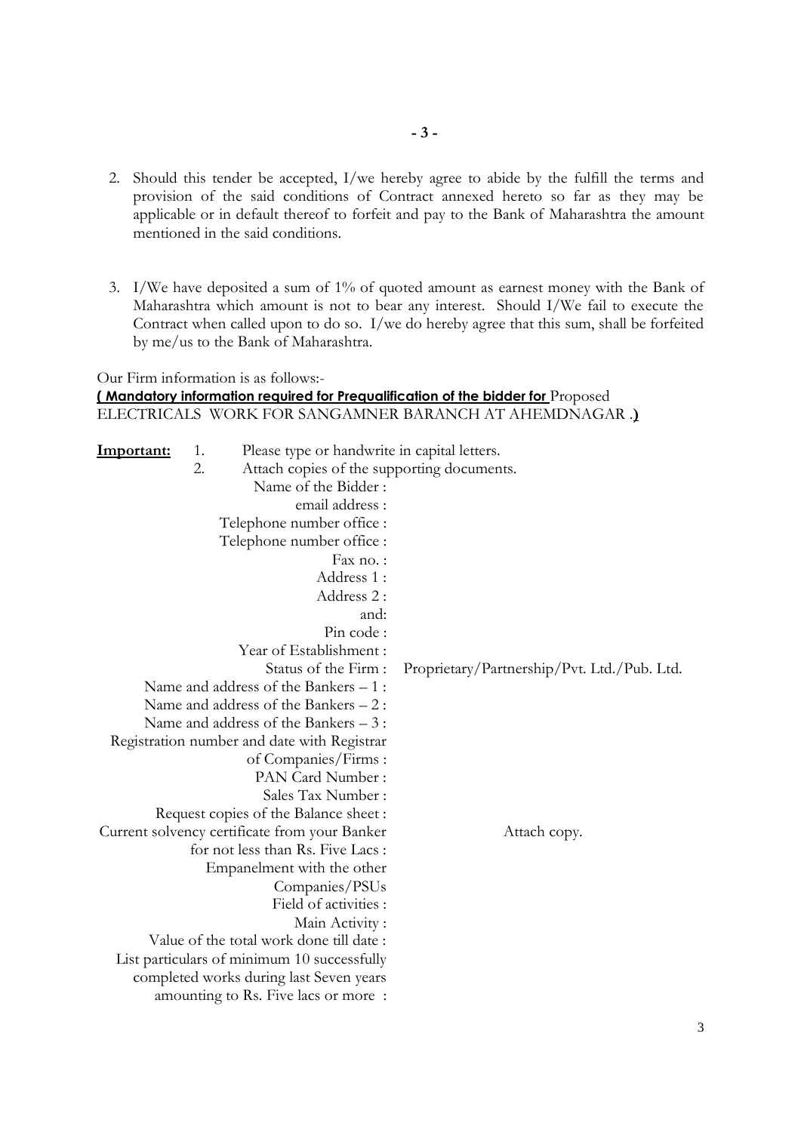- 2. Should this tender be accepted, I/we hereby agree to abide by the fulfill the terms and provision of the said conditions of Contract annexed hereto so far as they may be applicable or in default thereof to forfeit and pay to the Bank of Maharashtra the amount mentioned in the said conditions.
- 3. I/We have deposited a sum of 1% of quoted amount as earnest money with the Bank of Maharashtra which amount is not to bear any interest. Should I/We fail to execute the Contract when called upon to do so. I/we do hereby agree that this sum, shall be forfeited by me/us to the Bank of Maharashtra.

|            |                                                        | Our Firm information is as follows:-          |                                                                                        |  |  |  |
|------------|--------------------------------------------------------|-----------------------------------------------|----------------------------------------------------------------------------------------|--|--|--|
|            |                                                        |                                               | <b>(Mandatory information required for Prequalification of the bidder for Proposed</b> |  |  |  |
|            | ELECTRICALS WORK FOR SANGAMNER BARANCH AT AHEMDNAGAR.) |                                               |                                                                                        |  |  |  |
|            |                                                        |                                               |                                                                                        |  |  |  |
| Important: | 1.                                                     | Please type or handwrite in capital letters.  |                                                                                        |  |  |  |
|            | 2.                                                     | Attach copies of the supporting documents.    |                                                                                        |  |  |  |
|            |                                                        | Name of the Bidder:                           |                                                                                        |  |  |  |
|            |                                                        | email address :                               |                                                                                        |  |  |  |
|            |                                                        | Telephone number office :                     |                                                                                        |  |  |  |
|            |                                                        | Telephone number office :                     |                                                                                        |  |  |  |
|            |                                                        | Fax no.:                                      |                                                                                        |  |  |  |
|            |                                                        | Address 1:                                    |                                                                                        |  |  |  |
|            |                                                        | Address 2:                                    |                                                                                        |  |  |  |
|            |                                                        | and:                                          |                                                                                        |  |  |  |
|            |                                                        | Pin code:                                     |                                                                                        |  |  |  |
|            |                                                        | Year of Establishment:                        |                                                                                        |  |  |  |
|            |                                                        | Status of the Firm:                           | Proprietary/Partnership/Pvt. Ltd./Pub. Ltd.                                            |  |  |  |
|            |                                                        | Name and address of the Bankers - 1:          |                                                                                        |  |  |  |
|            |                                                        | Name and address of the Bankers - 2:          |                                                                                        |  |  |  |
|            |                                                        | Name and address of the Bankers $-3$ :        |                                                                                        |  |  |  |
|            |                                                        | Registration number and date with Registrar   |                                                                                        |  |  |  |
|            |                                                        | of Companies/Firms:                           |                                                                                        |  |  |  |
|            |                                                        | PAN Card Number:                              |                                                                                        |  |  |  |
|            |                                                        | Sales Tax Number:                             |                                                                                        |  |  |  |
|            |                                                        | Request copies of the Balance sheet:          |                                                                                        |  |  |  |
|            |                                                        | Current solvency certificate from your Banker | Attach copy.                                                                           |  |  |  |
|            |                                                        | for not less than Rs. Five Lacs :             |                                                                                        |  |  |  |
|            |                                                        | Empanelment with the other                    |                                                                                        |  |  |  |
|            |                                                        | Companies/PSUs                                |                                                                                        |  |  |  |
|            |                                                        | Field of activities :                         |                                                                                        |  |  |  |
|            |                                                        | Main Activity :                               |                                                                                        |  |  |  |
|            |                                                        | Value of the total work done till date:       |                                                                                        |  |  |  |
|            |                                                        | List particulars of minimum 10 successfully   |                                                                                        |  |  |  |
|            |                                                        | completed works during last Seven years       |                                                                                        |  |  |  |
|            |                                                        | amounting to Rs. Five lacs or more:           |                                                                                        |  |  |  |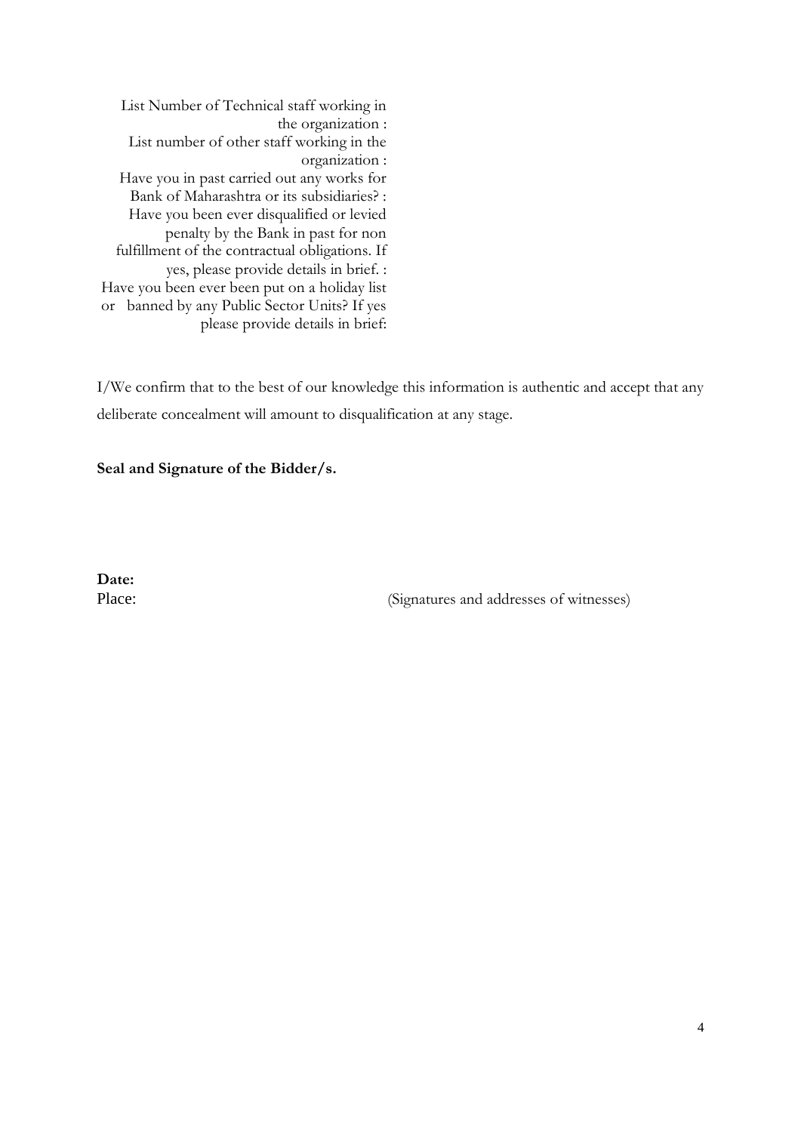List Number of Technical staff working in the organization : List number of other staff working in the organization : Have you in past carried out any works for Bank of Maharashtra or its subsidiaries? : Have you been ever disqualified or levied penalty by the Bank in past for non fulfillment of the contractual obligations. If yes, please provide details in brief. : Have you been ever been put on a holiday list or banned by any Public Sector Units? If yes please provide details in brief:

I/We confirm that to the best of our knowledge this information is authentic and accept that any deliberate concealment will amount to disqualification at any stage.

**Seal and Signature of the Bidder/s.**

**Date:**

Place: (Signatures and addresses of witnesses)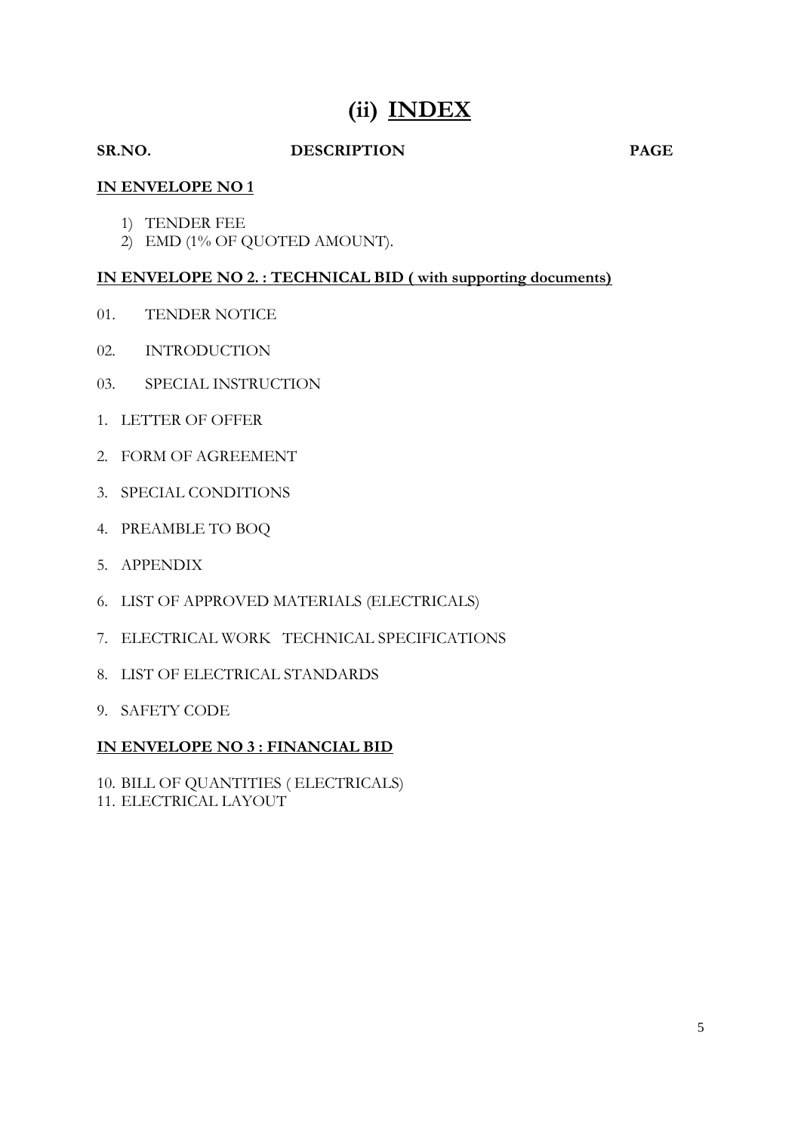# **(ii) INDEX**

# **SR.NO. DESCRIPTION PAGE**

# **IN ENVELOPE NO 1**

- 1) TENDER FEE
- 2) EMD (1% OF QUOTED AMOUNT).

# **IN ENVELOPE NO 2. : TECHNICAL BID ( with supporting documents)**

- 01. TENDER NOTICE
- 02. INTRODUCTION
- 03. SPECIAL INSTRUCTION
- 1. LETTER OF OFFER
- 2. FORM OF AGREEMENT
- 3. SPECIAL CONDITIONS
- 4. PREAMBLE TO BOQ
- 5. APPENDIX
- 6. LIST OF APPROVED MATERIALS (ELECTRICALS)
- 7. ELECTRICAL WORK TECHNICAL SPECIFICATIONS
- 8. LIST OF ELECTRICAL STANDARDS
- 9. SAFETY CODE

### **IN ENVELOPE NO 3 : FINANCIAL BID**

10. BILL OF QUANTITIES ( ELECTRICALS) 11. ELECTRICAL LAYOUT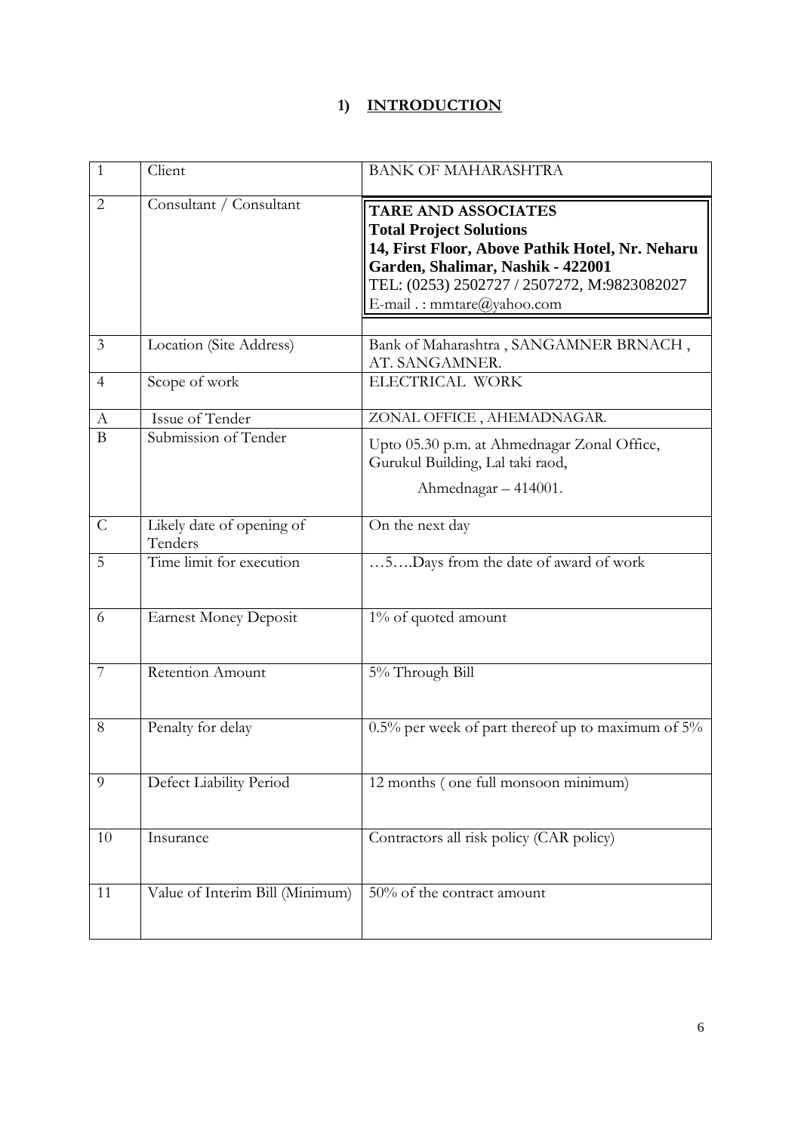# **1) INTRODUCTION**

| $\mathbf{1}$   | Client                               | <b>BANK OF MAHARASHTRA</b>                                                                                                                                                                                                        |
|----------------|--------------------------------------|-----------------------------------------------------------------------------------------------------------------------------------------------------------------------------------------------------------------------------------|
| $\overline{2}$ | Consultant / Consultant              | <b>TARE AND ASSOCIATES</b><br><b>Total Project Solutions</b><br>14, First Floor, Above Pathik Hotel, Nr. Neharu<br>Garden, Shalimar, Nashik - 422001<br>TEL: (0253) 2502727 / 2507272, M:9823082027<br>E-mail .: mmtare@yahoo.com |
| $\mathfrak{Z}$ | Location (Site Address)              | Bank of Maharashtra, SANGAMNER BRNACH,<br>AT. SANGAMNER.                                                                                                                                                                          |
| 4              | Scope of work                        | ELECTRICAL WORK                                                                                                                                                                                                                   |
| A              | Issue of Tender                      | ZONAL OFFICE, AHEMADNAGAR.                                                                                                                                                                                                        |
| $\overline{B}$ | Submission of Tender                 | Upto 05.30 p.m. at Ahmednagar Zonal Office,<br>Gurukul Building, Lal taki raod,<br>Ahmednagar - 414001.                                                                                                                           |
| $\mathsf{C}$   | Likely date of opening of<br>Tenders | On the next day                                                                                                                                                                                                                   |
| 5              | Time limit for execution             | 5 Days from the date of award of work                                                                                                                                                                                             |
| 6              | <b>Earnest Money Deposit</b>         | 1% of quoted amount                                                                                                                                                                                                               |
| $\overline{7}$ | Retention Amount                     | 5% Through Bill                                                                                                                                                                                                                   |
| 8              | Penalty for delay                    | 0.5% per week of part thereof up to maximum of 5%                                                                                                                                                                                 |
| 9              | Defect Liability Period              | 12 months (one full monsoon minimum)                                                                                                                                                                                              |
| $10\,$         | Insurance                            | Contractors all risk policy (CAR policy)                                                                                                                                                                                          |
| 11             | Value of Interim Bill (Minimum)      | 50% of the contract amount                                                                                                                                                                                                        |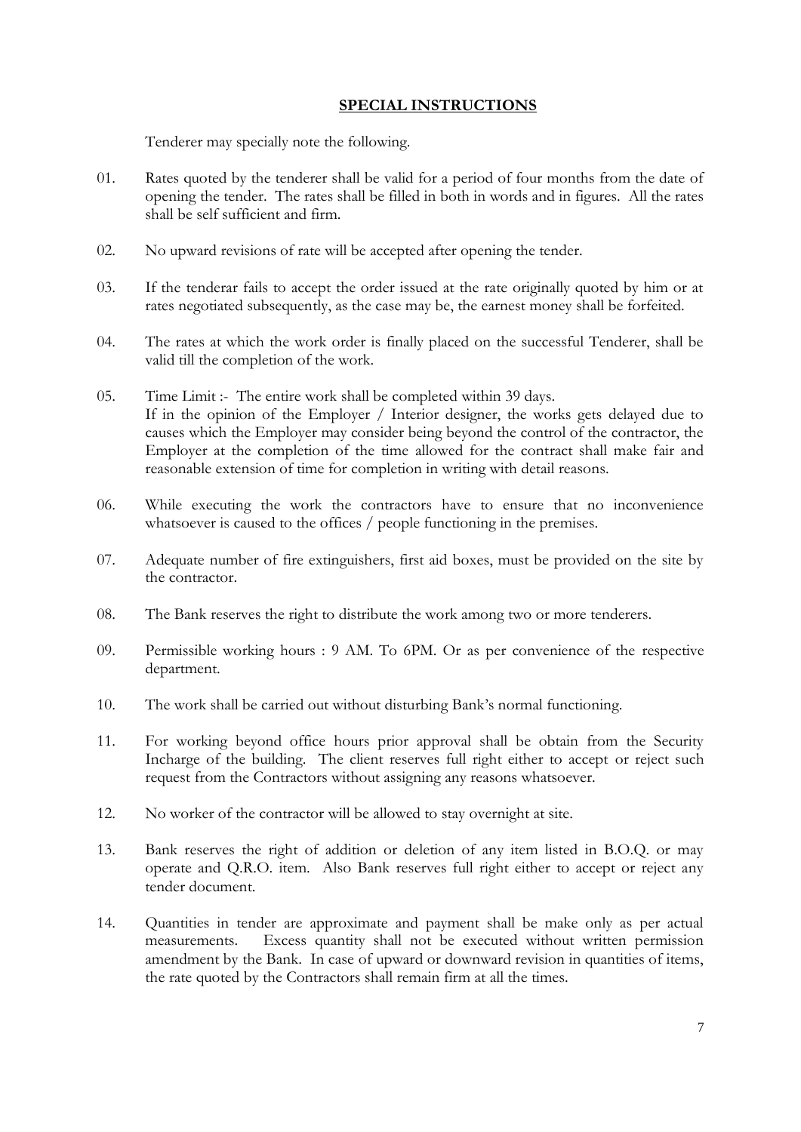# **SPECIAL INSTRUCTIONS**

Tenderer may specially note the following.

- 01. Rates quoted by the tenderer shall be valid for a period of four months from the date of opening the tender. The rates shall be filled in both in words and in figures. All the rates shall be self sufficient and firm.
- 02. No upward revisions of rate will be accepted after opening the tender.
- 03. If the tenderar fails to accept the order issued at the rate originally quoted by him or at rates negotiated subsequently, as the case may be, the earnest money shall be forfeited.
- 04. The rates at which the work order is finally placed on the successful Tenderer, shall be valid till the completion of the work.
- 05. Time Limit :- The entire work shall be completed within 39 days. If in the opinion of the Employer / Interior designer, the works gets delayed due to causes which the Employer may consider being beyond the control of the contractor, the Employer at the completion of the time allowed for the contract shall make fair and reasonable extension of time for completion in writing with detail reasons.
- 06. While executing the work the contractors have to ensure that no inconvenience whatsoever is caused to the offices / people functioning in the premises.
- 07. Adequate number of fire extinguishers, first aid boxes, must be provided on the site by the contractor.
- 08. The Bank reserves the right to distribute the work among two or more tenderers.
- 09. Permissible working hours : 9 AM. To 6PM. Or as per convenience of the respective department.
- 10. The work shall be carried out without disturbing Bank's normal functioning.
- 11. For working beyond office hours prior approval shall be obtain from the Security Incharge of the building. The client reserves full right either to accept or reject such request from the Contractors without assigning any reasons whatsoever.
- 12. No worker of the contractor will be allowed to stay overnight at site.
- 13. Bank reserves the right of addition or deletion of any item listed in B.O.Q. or may operate and Q.R.O. item. Also Bank reserves full right either to accept or reject any tender document.
- 14. Quantities in tender are approximate and payment shall be make only as per actual measurements. Excess quantity shall not be executed without written permission amendment by the Bank. In case of upward or downward revision in quantities of items, the rate quoted by the Contractors shall remain firm at all the times.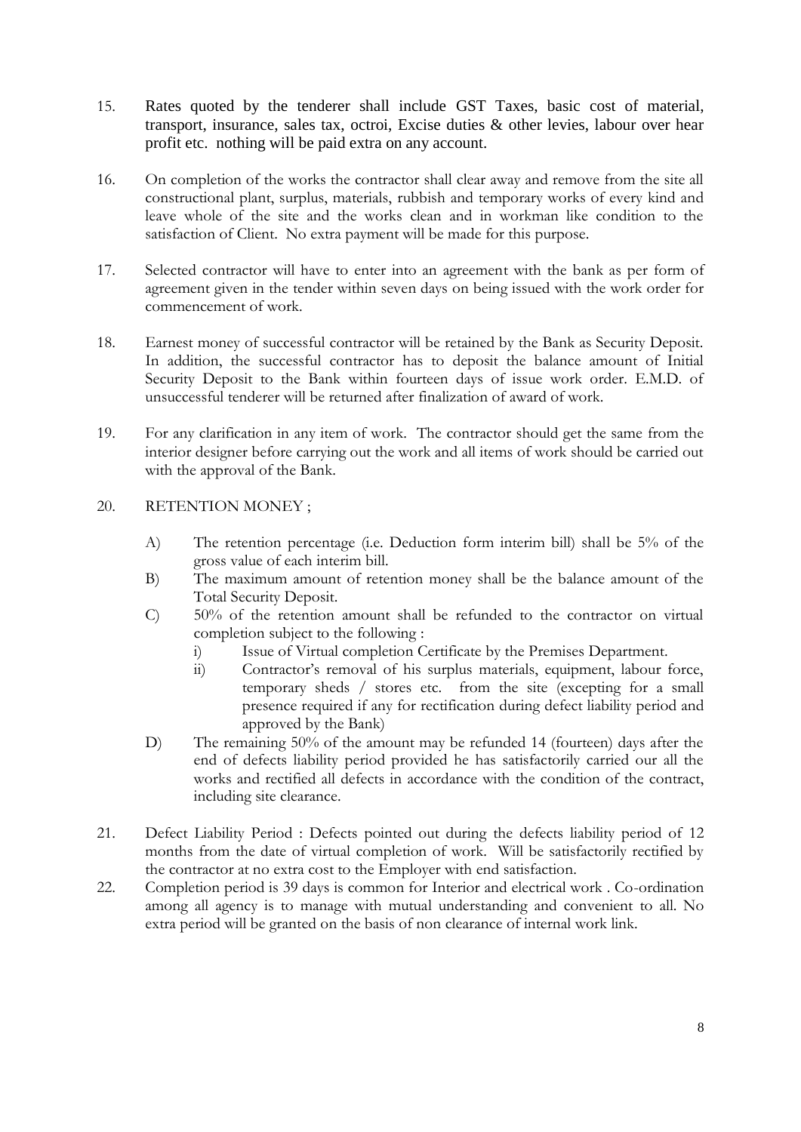- 15. Rates quoted by the tenderer shall include GST Taxes, basic cost of material, transport, insurance, sales tax, octroi, Excise duties & other levies, labour over hear profit etc. nothing will be paid extra on any account.
- 16. On completion of the works the contractor shall clear away and remove from the site all constructional plant, surplus, materials, rubbish and temporary works of every kind and leave whole of the site and the works clean and in workman like condition to the satisfaction of Client. No extra payment will be made for this purpose.
- 17. Selected contractor will have to enter into an agreement with the bank as per form of agreement given in the tender within seven days on being issued with the work order for commencement of work.
- 18. Earnest money of successful contractor will be retained by the Bank as Security Deposit. In addition, the successful contractor has to deposit the balance amount of Initial Security Deposit to the Bank within fourteen days of issue work order. E.M.D. of unsuccessful tenderer will be returned after finalization of award of work.
- 19. For any clarification in any item of work. The contractor should get the same from the interior designer before carrying out the work and all items of work should be carried out with the approval of the Bank.
- 20. RETENTION MONEY ;
	- A) The retention percentage (i.e. Deduction form interim bill) shall be 5% of the gross value of each interim bill.
	- B) The maximum amount of retention money shall be the balance amount of the Total Security Deposit.
	- C) 50% of the retention amount shall be refunded to the contractor on virtual completion subject to the following :
		- i) Issue of Virtual completion Certificate by the Premises Department.
		- ii) Contractor's removal of his surplus materials, equipment, labour force, temporary sheds / stores etc. from the site (excepting for a small presence required if any for rectification during defect liability period and approved by the Bank)
	- D) The remaining 50% of the amount may be refunded 14 (fourteen) days after the end of defects liability period provided he has satisfactorily carried our all the works and rectified all defects in accordance with the condition of the contract, including site clearance.
- 21. Defect Liability Period : Defects pointed out during the defects liability period of 12 months from the date of virtual completion of work. Will be satisfactorily rectified by the contractor at no extra cost to the Employer with end satisfaction.
- 22. Completion period is 39 days is common for Interior and electrical work . Co-ordination among all agency is to manage with mutual understanding and convenient to all. No extra period will be granted on the basis of non clearance of internal work link.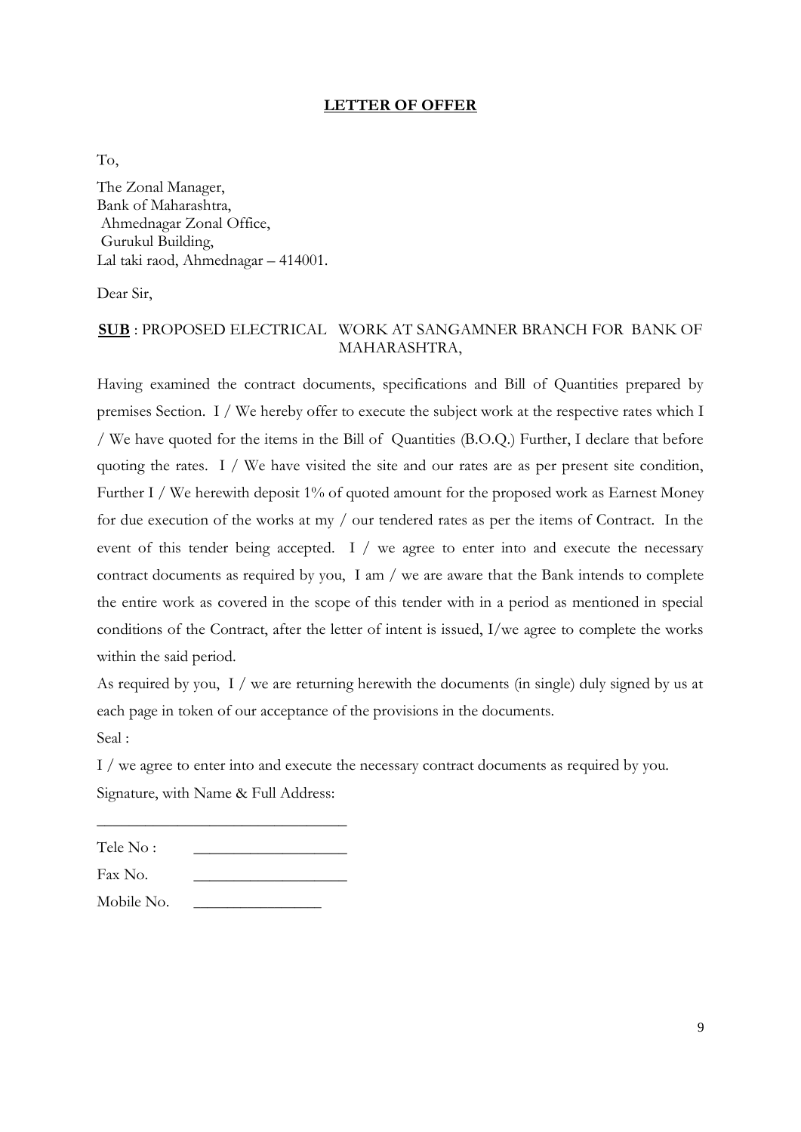# **LETTER OF OFFER**

To,

The Zonal Manager, Bank of Maharashtra, Ahmednagar Zonal Office, Gurukul Building, Lal taki raod, Ahmednagar – 414001.

Dear Sir,

# **SUB** : PROPOSED ELECTRICAL WORK AT SANGAMNER BRANCH FOR BANK OF MAHARASHTRA,

Having examined the contract documents, specifications and Bill of Quantities prepared by premises Section. I / We hereby offer to execute the subject work at the respective rates which I / We have quoted for the items in the Bill of Quantities (B.O.Q.) Further, I declare that before quoting the rates. I / We have visited the site and our rates are as per present site condition, Further I / We herewith deposit 1% of quoted amount for the proposed work as Earnest Money for due execution of the works at my / our tendered rates as per the items of Contract. In the event of this tender being accepted. I / we agree to enter into and execute the necessary contract documents as required by you, I am / we are aware that the Bank intends to complete the entire work as covered in the scope of this tender with in a period as mentioned in special conditions of the Contract, after the letter of intent is issued, I/we agree to complete the works within the said period.

As required by you, I / we are returning herewith the documents (in single) duly signed by us at each page in token of our acceptance of the provisions in the documents. Seal :

I / we agree to enter into and execute the necessary contract documents as required by you. Signature, with Name & Full Address:

| Tele No:    |  |
|-------------|--|
| Fax No.     |  |
| 3 F 1 1 3 T |  |

 $\overline{\phantom{a}}$  , where  $\overline{\phantom{a}}$  , where  $\overline{\phantom{a}}$  ,  $\overline{\phantom{a}}$  ,  $\overline{\phantom{a}}$  ,  $\overline{\phantom{a}}$  ,  $\overline{\phantom{a}}$  ,  $\overline{\phantom{a}}$  ,  $\overline{\phantom{a}}$  ,  $\overline{\phantom{a}}$  ,  $\overline{\phantom{a}}$  ,  $\overline{\phantom{a}}$  ,  $\overline{\phantom{a}}$  ,  $\overline{\phantom{a}}$  ,  $\overline{\phantom{a}}$  ,

Mobile No.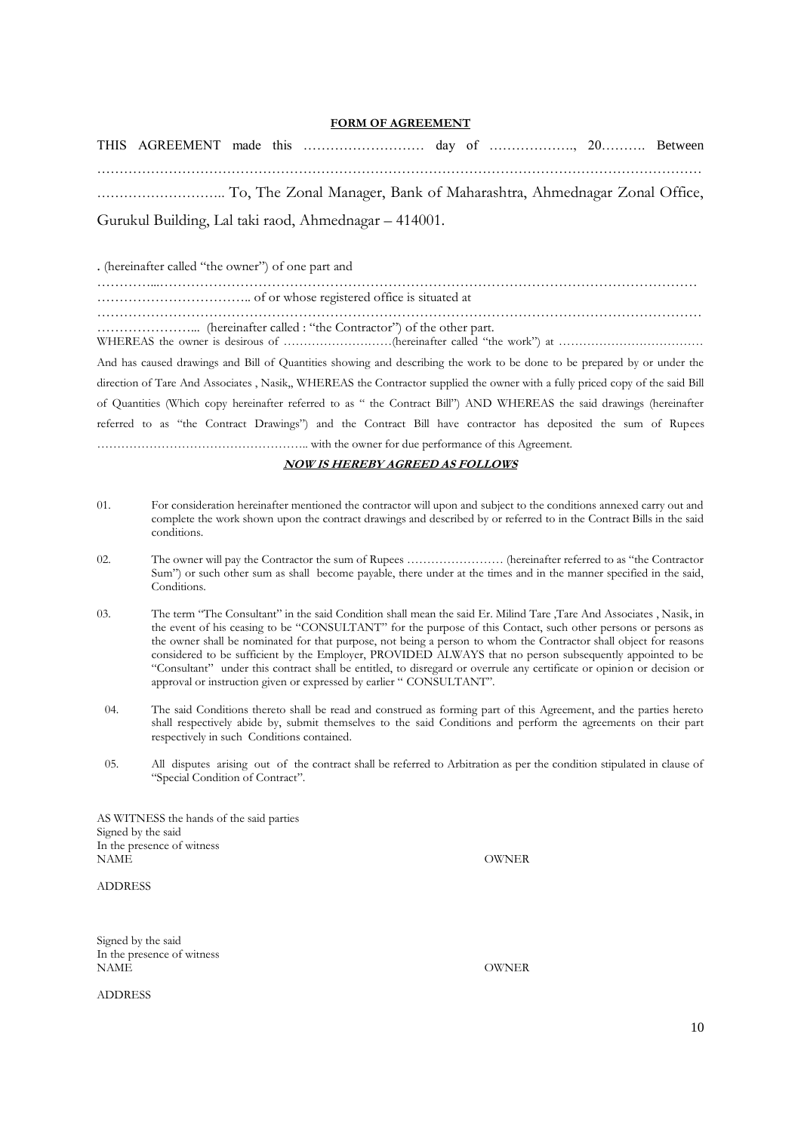#### **FORM OF AGREEMENT**

THIS AGREEMENT made this ……………………… day of ………………., 20………. Between ……………………………………………………………………………………………………………………… ……………………….. To, The Zonal Manager, Bank of Maharashtra, Ahmednagar Zonal Office, Gurukul Building, Lal taki raod, Ahmednagar – 414001.

. (hereinafter called "the owner") of one part and

…………...………………………………………………………………………………………………………… …………………………….. of or whose registered office is situated at

………………………………………………………………………………………………………………………

…………………... (hereinafter called : "the Contractor") of the other part.

WHEREAS the owner is desirous of ……………………(hereinafter called "the work") at …………………………… And has caused drawings and Bill of Quantities showing and describing the work to be done to be prepared by or under the direction of Tare And Associates , Nasik,, WHEREAS the Contractor supplied the owner with a fully priced copy of the said Bill of Quantities (Which copy hereinafter referred to as " the Contract Bill") AND WHEREAS the said drawings (hereinafter referred to as "the Contract Drawings") and the Contract Bill have contractor has deposited the sum of Rupees …………………………………………….. with the owner for due performance of this Agreement.

#### **NOW IS HEREBY AGREED AS FOLLOWS**

- 01. For consideration hereinafter mentioned the contractor will upon and subject to the conditions annexed carry out and complete the work shown upon the contract drawings and described by or referred to in the Contract Bills in the said conditions.
- 02. The owner will pay the Contractor the sum of Rupees …………………… (hereinafter referred to as "the Contractor Sum") or such other sum as shall become payable, there under at the times and in the manner specified in the said, Conditions
- 03. The term "The Consultant" in the said Condition shall mean the said Er. Milind Tare ,Tare And Associates , Nasik, in the event of his ceasing to be "CONSULTANT" for the purpose of this Contact, such other persons or persons as the owner shall be nominated for that purpose, not being a person to whom the Contractor shall object for reasons considered to be sufficient by the Employer, PROVIDED ALWAYS that no person subsequently appointed to be "Consultant" under this contract shall be entitled, to disregard or overrule any certificate or opinion or decision or approval or instruction given or expressed by earlier " CONSULTANT".
	- 04. The said Conditions thereto shall be read and construed as forming part of this Agreement, and the parties hereto shall respectively abide by, submit themselves to the said Conditions and perform the agreements on their part respectively in such Conditions contained.
	- 05. All disputes arising out of the contract shall be referred to Arbitration as per the condition stipulated in clause of "Special Condition of Contract".

AS WITNESS the hands of the said parties Signed by the said In the presence of witness NAME OWNER

ADDRESS

Signed by the said In the presence of witness NAME OWNER

ADDRESS

10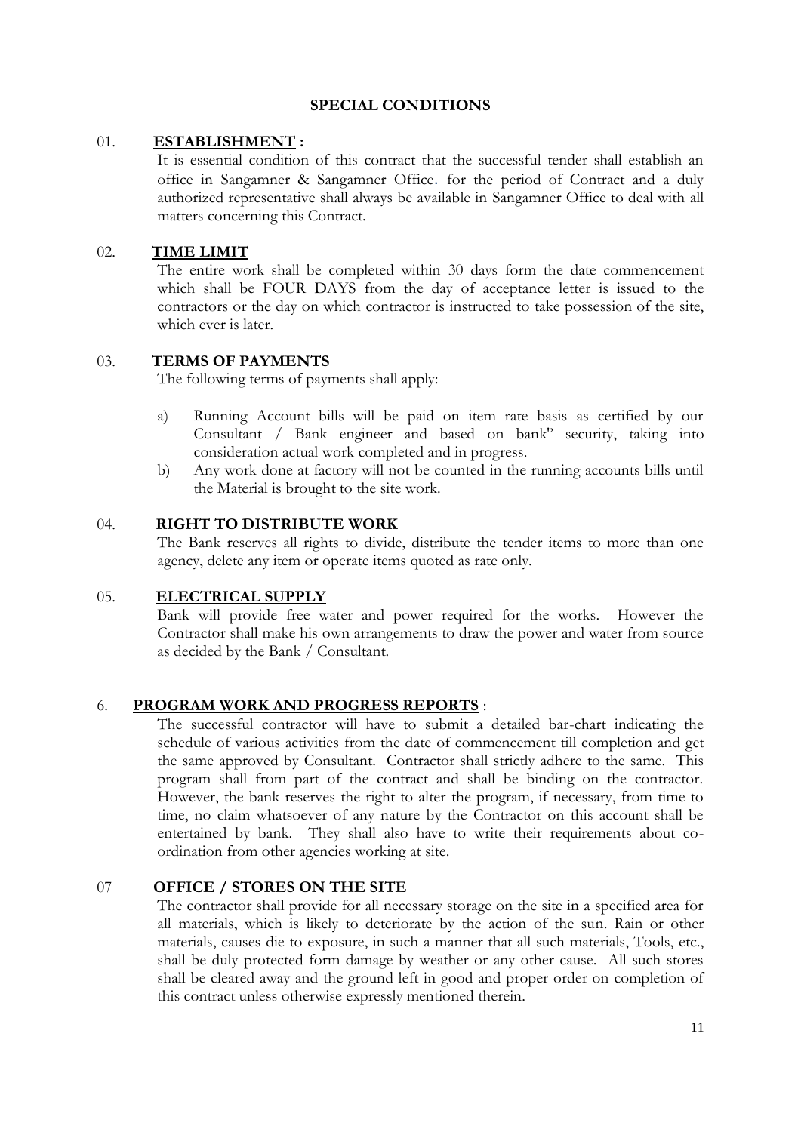# **SPECIAL CONDITIONS**

# 01. **ESTABLISHMENT :**

It is essential condition of this contract that the successful tender shall establish an office in Sangamner & Sangamner Office. for the period of Contract and a duly authorized representative shall always be available in Sangamner Office to deal with all matters concerning this Contract.

# 02. **TIME LIMIT**

The entire work shall be completed within 30 days form the date commencement which shall be FOUR DAYS from the day of acceptance letter is issued to the contractors or the day on which contractor is instructed to take possession of the site, which ever is later.

# 03. **TERMS OF PAYMENTS**

The following terms of payments shall apply:

- a) Running Account bills will be paid on item rate basis as certified by our Consultant / Bank engineer and based on bank'' security, taking into consideration actual work completed and in progress.
- b) Any work done at factory will not be counted in the running accounts bills until the Material is brought to the site work.

# 04. **RIGHT TO DISTRIBUTE WORK**

The Bank reserves all rights to divide, distribute the tender items to more than one agency, delete any item or operate items quoted as rate only.

### 05. **ELECTRICAL SUPPLY**

Bank will provide free water and power required for the works. However the Contractor shall make his own arrangements to draw the power and water from source as decided by the Bank / Consultant.

# 6. **PROGRAM WORK AND PROGRESS REPORTS** :

The successful contractor will have to submit a detailed bar-chart indicating the schedule of various activities from the date of commencement till completion and get the same approved by Consultant. Contractor shall strictly adhere to the same. This program shall from part of the contract and shall be binding on the contractor. However, the bank reserves the right to alter the program, if necessary, from time to time, no claim whatsoever of any nature by the Contractor on this account shall be entertained by bank. They shall also have to write their requirements about coordination from other agencies working at site.

### 07 **OFFICE / STORES ON THE SITE**

The contractor shall provide for all necessary storage on the site in a specified area for all materials, which is likely to deteriorate by the action of the sun. Rain or other materials, causes die to exposure, in such a manner that all such materials, Tools, etc., shall be duly protected form damage by weather or any other cause. All such stores shall be cleared away and the ground left in good and proper order on completion of this contract unless otherwise expressly mentioned therein.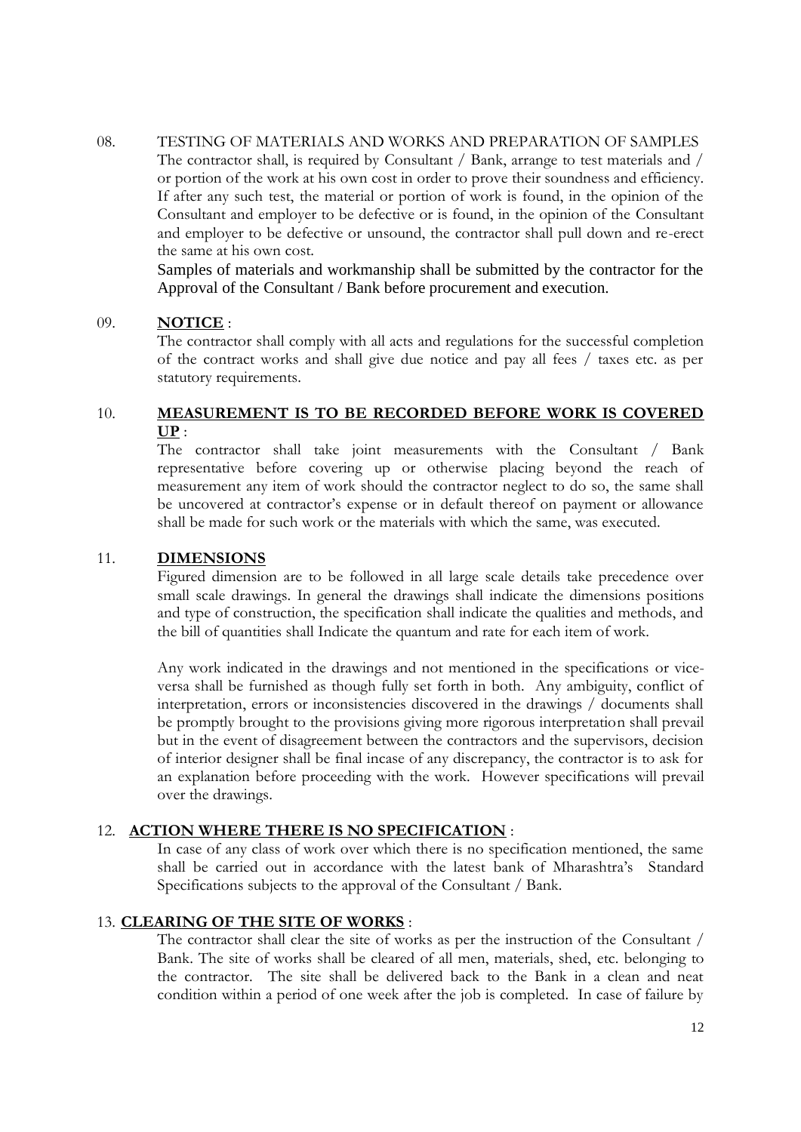08. TESTING OF MATERIALS AND WORKS AND PREPARATION OF SAMPLES The contractor shall, is required by Consultant / Bank, arrange to test materials and / or portion of the work at his own cost in order to prove their soundness and efficiency. If after any such test, the material or portion of work is found, in the opinion of the Consultant and employer to be defective or is found, in the opinion of the Consultant and employer to be defective or unsound, the contractor shall pull down and re-erect the same at his own cost.

Samples of materials and workmanship shall be submitted by the contractor for the Approval of the Consultant / Bank before procurement and execution.

# 09. **NOTICE** :

The contractor shall comply with all acts and regulations for the successful completion of the contract works and shall give due notice and pay all fees / taxes etc. as per statutory requirements.

# 10. **MEASUREMENT IS TO BE RECORDED BEFORE WORK IS COVERED UP** :

The contractor shall take joint measurements with the Consultant / Bank representative before covering up or otherwise placing beyond the reach of measurement any item of work should the contractor neglect to do so, the same shall be uncovered at contractor's expense or in default thereof on payment or allowance shall be made for such work or the materials with which the same, was executed.

# 11. **DIMENSIONS**

Figured dimension are to be followed in all large scale details take precedence over small scale drawings. In general the drawings shall indicate the dimensions positions and type of construction, the specification shall indicate the qualities and methods, and the bill of quantities shall Indicate the quantum and rate for each item of work.

Any work indicated in the drawings and not mentioned in the specifications or viceversa shall be furnished as though fully set forth in both. Any ambiguity, conflict of interpretation, errors or inconsistencies discovered in the drawings / documents shall be promptly brought to the provisions giving more rigorous interpretation shall prevail but in the event of disagreement between the contractors and the supervisors, decision of interior designer shall be final incase of any discrepancy, the contractor is to ask for an explanation before proceeding with the work. However specifications will prevail over the drawings.

# 12. **ACTION WHERE THERE IS NO SPECIFICATION** :

In case of any class of work over which there is no specification mentioned, the same shall be carried out in accordance with the latest bank of Mharashtra's Standard Specifications subjects to the approval of the Consultant / Bank.

# 13. **CLEARING OF THE SITE OF WORKS** :

The contractor shall clear the site of works as per the instruction of the Consultant / Bank. The site of works shall be cleared of all men, materials, shed, etc. belonging to the contractor. The site shall be delivered back to the Bank in a clean and neat condition within a period of one week after the job is completed. In case of failure by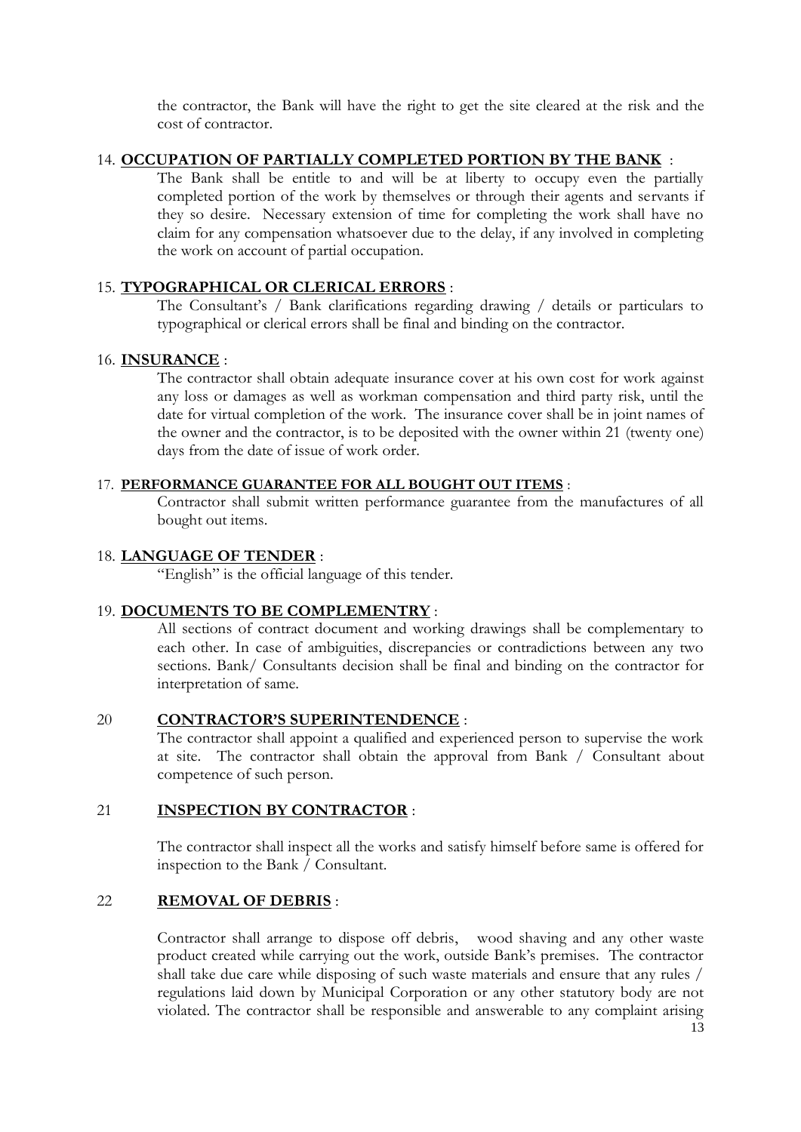the contractor, the Bank will have the right to get the site cleared at the risk and the cost of contractor.

# 14. **OCCUPATION OF PARTIALLY COMPLETED PORTION BY THE BANK** :

The Bank shall be entitle to and will be at liberty to occupy even the partially completed portion of the work by themselves or through their agents and servants if they so desire. Necessary extension of time for completing the work shall have no claim for any compensation whatsoever due to the delay, if any involved in completing the work on account of partial occupation.

# 15. **TYPOGRAPHICAL OR CLERICAL ERRORS** :

The Consultant's / Bank clarifications regarding drawing / details or particulars to typographical or clerical errors shall be final and binding on the contractor.

### 16. **INSURANCE** :

The contractor shall obtain adequate insurance cover at his own cost for work against any loss or damages as well as workman compensation and third party risk, until the date for virtual completion of the work. The insurance cover shall be in joint names of the owner and the contractor, is to be deposited with the owner within 21 (twenty one) days from the date of issue of work order.

# 17. **PERFORMANCE GUARANTEE FOR ALL BOUGHT OUT ITEMS** :

Contractor shall submit written performance guarantee from the manufactures of all bought out items.

# 18. **LANGUAGE OF TENDER** :

"English" is the official language of this tender.

# 19. **DOCUMENTS TO BE COMPLEMENTRY** :

All sections of contract document and working drawings shall be complementary to each other. In case of ambiguities, discrepancies or contradictions between any two sections. Bank/ Consultants decision shall be final and binding on the contractor for interpretation of same.

# 20 **CONTRACTOR'S SUPERINTENDENCE** :

The contractor shall appoint a qualified and experienced person to supervise the work at site. The contractor shall obtain the approval from Bank / Consultant about competence of such person.

### 21 **INSPECTION BY CONTRACTOR** :

The contractor shall inspect all the works and satisfy himself before same is offered for inspection to the Bank / Consultant.

# 22 **REMOVAL OF DEBRIS** :

Contractor shall arrange to dispose off debris, wood shaving and any other waste product created while carrying out the work, outside Bank's premises. The contractor shall take due care while disposing of such waste materials and ensure that any rules / regulations laid down by Municipal Corporation or any other statutory body are not violated. The contractor shall be responsible and answerable to any complaint arising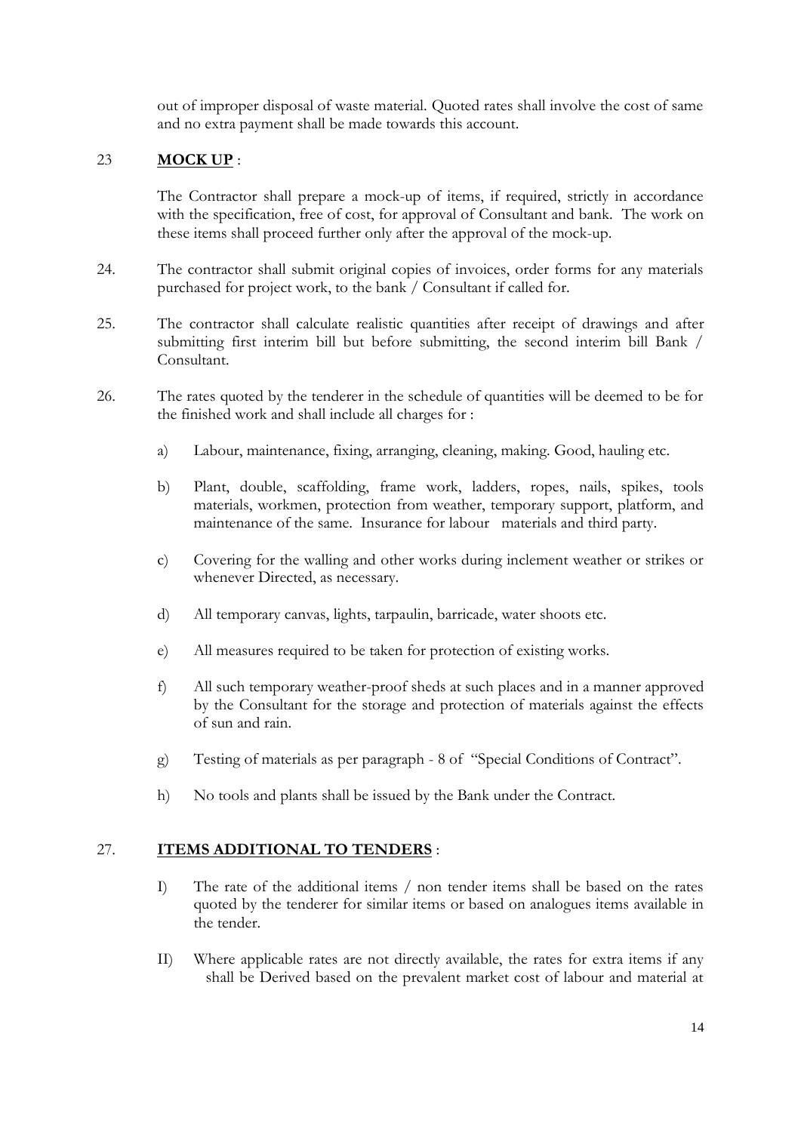out of improper disposal of waste material. Quoted rates shall involve the cost of same and no extra payment shall be made towards this account.

# 23 **MOCK UP** :

The Contractor shall prepare a mock-up of items, if required, strictly in accordance with the specification, free of cost, for approval of Consultant and bank. The work on these items shall proceed further only after the approval of the mock-up.

- 24. The contractor shall submit original copies of invoices, order forms for any materials purchased for project work, to the bank / Consultant if called for.
- 25. The contractor shall calculate realistic quantities after receipt of drawings and after submitting first interim bill but before submitting, the second interim bill Bank / Consultant.
- 26. The rates quoted by the tenderer in the schedule of quantities will be deemed to be for the finished work and shall include all charges for :
	- a) Labour, maintenance, fixing, arranging, cleaning, making. Good, hauling etc.
	- b) Plant, double, scaffolding, frame work, ladders, ropes, nails, spikes, tools materials, workmen, protection from weather, temporary support, platform, and maintenance of the same. Insurance for labour materials and third party.
	- c) Covering for the walling and other works during inclement weather or strikes or whenever Directed, as necessary.
	- d) All temporary canvas, lights, tarpaulin, barricade, water shoots etc.
	- e) All measures required to be taken for protection of existing works.
	- f) All such temporary weather-proof sheds at such places and in a manner approved by the Consultant for the storage and protection of materials against the effects of sun and rain.
	- g) Testing of materials as per paragraph 8 of "Special Conditions of Contract".
	- h) No tools and plants shall be issued by the Bank under the Contract.

# 27. **ITEMS ADDITIONAL TO TENDERS** :

- I) The rate of the additional items / non tender items shall be based on the rates quoted by the tenderer for similar items or based on analogues items available in the tender.
- II) Where applicable rates are not directly available, the rates for extra items if any shall be Derived based on the prevalent market cost of labour and material at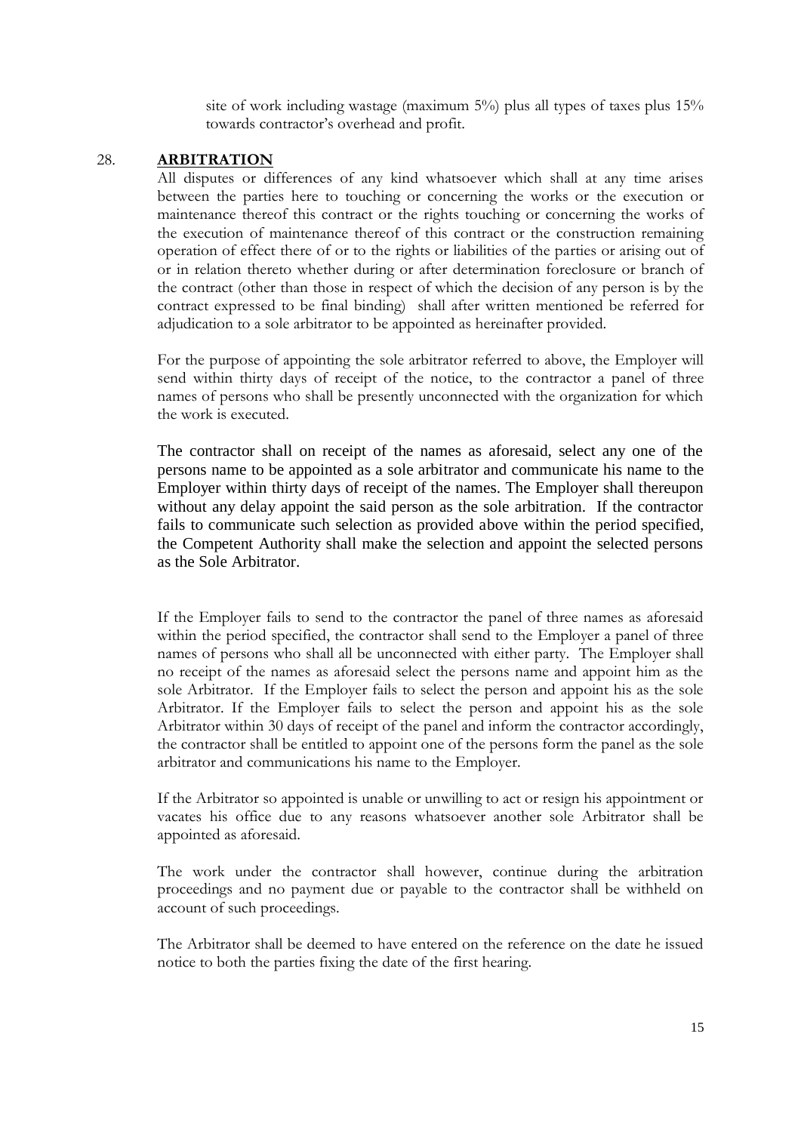site of work including wastage (maximum  $5\%$ ) plus all types of taxes plus  $15\%$ towards contractor's overhead and profit.

### 28. **ARBITRATION**

All disputes or differences of any kind whatsoever which shall at any time arises between the parties here to touching or concerning the works or the execution or maintenance thereof this contract or the rights touching or concerning the works of the execution of maintenance thereof of this contract or the construction remaining operation of effect there of or to the rights or liabilities of the parties or arising out of or in relation thereto whether during or after determination foreclosure or branch of the contract (other than those in respect of which the decision of any person is by the contract expressed to be final binding) shall after written mentioned be referred for adjudication to a sole arbitrator to be appointed as hereinafter provided.

For the purpose of appointing the sole arbitrator referred to above, the Employer will send within thirty days of receipt of the notice, to the contractor a panel of three names of persons who shall be presently unconnected with the organization for which the work is executed.

The contractor shall on receipt of the names as aforesaid, select any one of the persons name to be appointed as a sole arbitrator and communicate his name to the Employer within thirty days of receipt of the names. The Employer shall thereupon without any delay appoint the said person as the sole arbitration. If the contractor fails to communicate such selection as provided above within the period specified, the Competent Authority shall make the selection and appoint the selected persons as the Sole Arbitrator.

If the Employer fails to send to the contractor the panel of three names as aforesaid within the period specified, the contractor shall send to the Employer a panel of three names of persons who shall all be unconnected with either party. The Employer shall no receipt of the names as aforesaid select the persons name and appoint him as the sole Arbitrator. If the Employer fails to select the person and appoint his as the sole Arbitrator. If the Employer fails to select the person and appoint his as the sole Arbitrator within 30 days of receipt of the panel and inform the contractor accordingly, the contractor shall be entitled to appoint one of the persons form the panel as the sole arbitrator and communications his name to the Employer.

If the Arbitrator so appointed is unable or unwilling to act or resign his appointment or vacates his office due to any reasons whatsoever another sole Arbitrator shall be appointed as aforesaid.

The work under the contractor shall however, continue during the arbitration proceedings and no payment due or payable to the contractor shall be withheld on account of such proceedings.

The Arbitrator shall be deemed to have entered on the reference on the date he issued notice to both the parties fixing the date of the first hearing.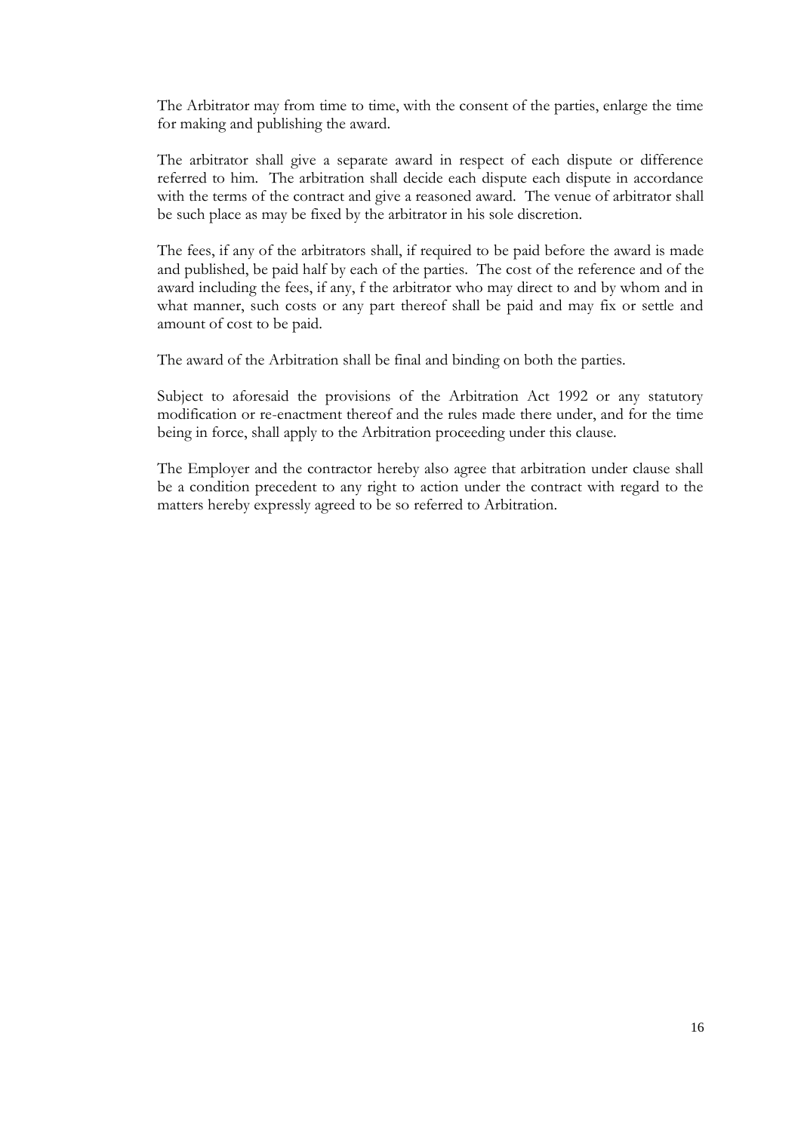The Arbitrator may from time to time, with the consent of the parties, enlarge the time for making and publishing the award.

The arbitrator shall give a separate award in respect of each dispute or difference referred to him. The arbitration shall decide each dispute each dispute in accordance with the terms of the contract and give a reasoned award. The venue of arbitrator shall be such place as may be fixed by the arbitrator in his sole discretion.

The fees, if any of the arbitrators shall, if required to be paid before the award is made and published, be paid half by each of the parties. The cost of the reference and of the award including the fees, if any, f the arbitrator who may direct to and by whom and in what manner, such costs or any part thereof shall be paid and may fix or settle and amount of cost to be paid.

The award of the Arbitration shall be final and binding on both the parties.

Subject to aforesaid the provisions of the Arbitration Act 1992 or any statutory modification or re-enactment thereof and the rules made there under, and for the time being in force, shall apply to the Arbitration proceeding under this clause.

The Employer and the contractor hereby also agree that arbitration under clause shall be a condition precedent to any right to action under the contract with regard to the matters hereby expressly agreed to be so referred to Arbitration.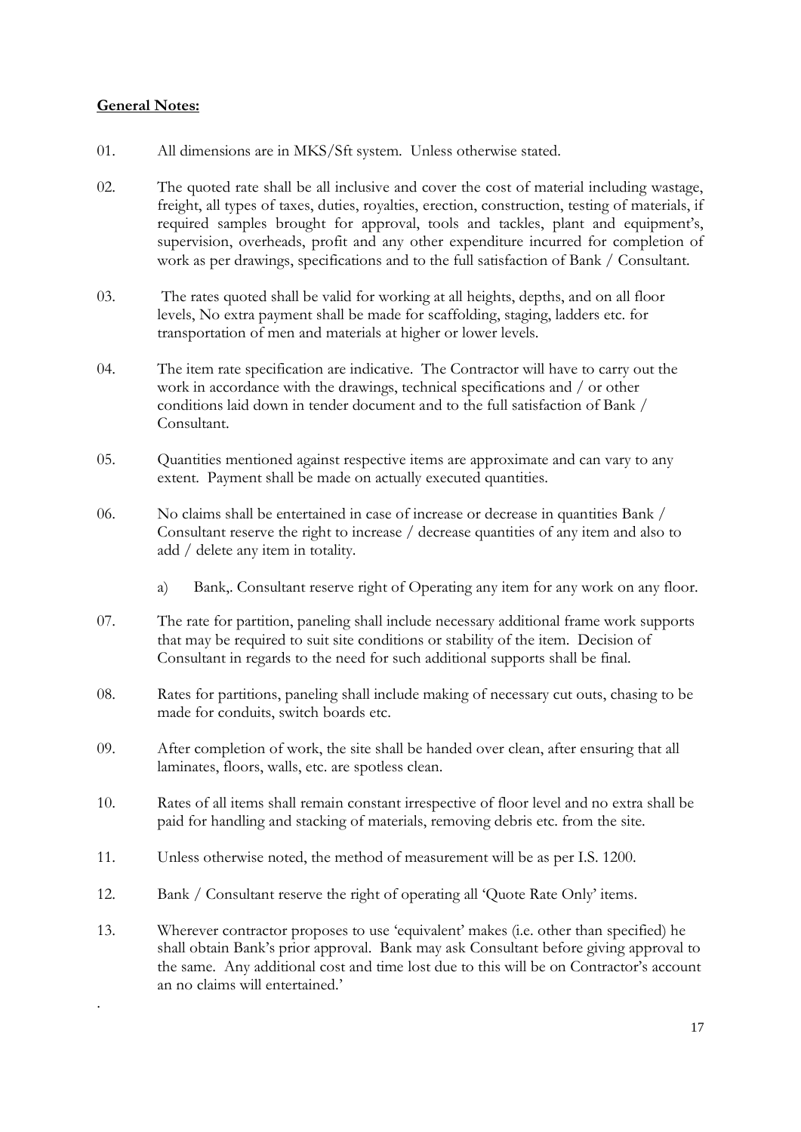# **General Notes:**

.

- 01. All dimensions are in MKS/Sft system. Unless otherwise stated.
- 02. The quoted rate shall be all inclusive and cover the cost of material including wastage, freight, all types of taxes, duties, royalties, erection, construction, testing of materials, if required samples brought for approval, tools and tackles, plant and equipment's, supervision, overheads, profit and any other expenditure incurred for completion of work as per drawings, specifications and to the full satisfaction of Bank / Consultant.
- 03. The rates quoted shall be valid for working at all heights, depths, and on all floor levels, No extra payment shall be made for scaffolding, staging, ladders etc. for transportation of men and materials at higher or lower levels.
- 04. The item rate specification are indicative. The Contractor will have to carry out the work in accordance with the drawings, technical specifications and / or other conditions laid down in tender document and to the full satisfaction of Bank / Consultant.
- 05. Quantities mentioned against respective items are approximate and can vary to any extent. Payment shall be made on actually executed quantities.
- 06. No claims shall be entertained in case of increase or decrease in quantities Bank / Consultant reserve the right to increase / decrease quantities of any item and also to add / delete any item in totality.
	- a) Bank,. Consultant reserve right of Operating any item for any work on any floor.
- 07. The rate for partition, paneling shall include necessary additional frame work supports that may be required to suit site conditions or stability of the item. Decision of Consultant in regards to the need for such additional supports shall be final.
- 08. Rates for partitions, paneling shall include making of necessary cut outs, chasing to be made for conduits, switch boards etc.
- 09. After completion of work, the site shall be handed over clean, after ensuring that all laminates, floors, walls, etc. are spotless clean.
- 10. Rates of all items shall remain constant irrespective of floor level and no extra shall be paid for handling and stacking of materials, removing debris etc. from the site.
- 11. Unless otherwise noted, the method of measurement will be as per I.S. 1200.
- 12. Bank / Consultant reserve the right of operating all 'Quote Rate Only' items.
- 13. Wherever contractor proposes to use 'equivalent' makes (i.e. other than specified) he shall obtain Bank's prior approval. Bank may ask Consultant before giving approval to the same. Any additional cost and time lost due to this will be on Contractor's account an no claims will entertained.'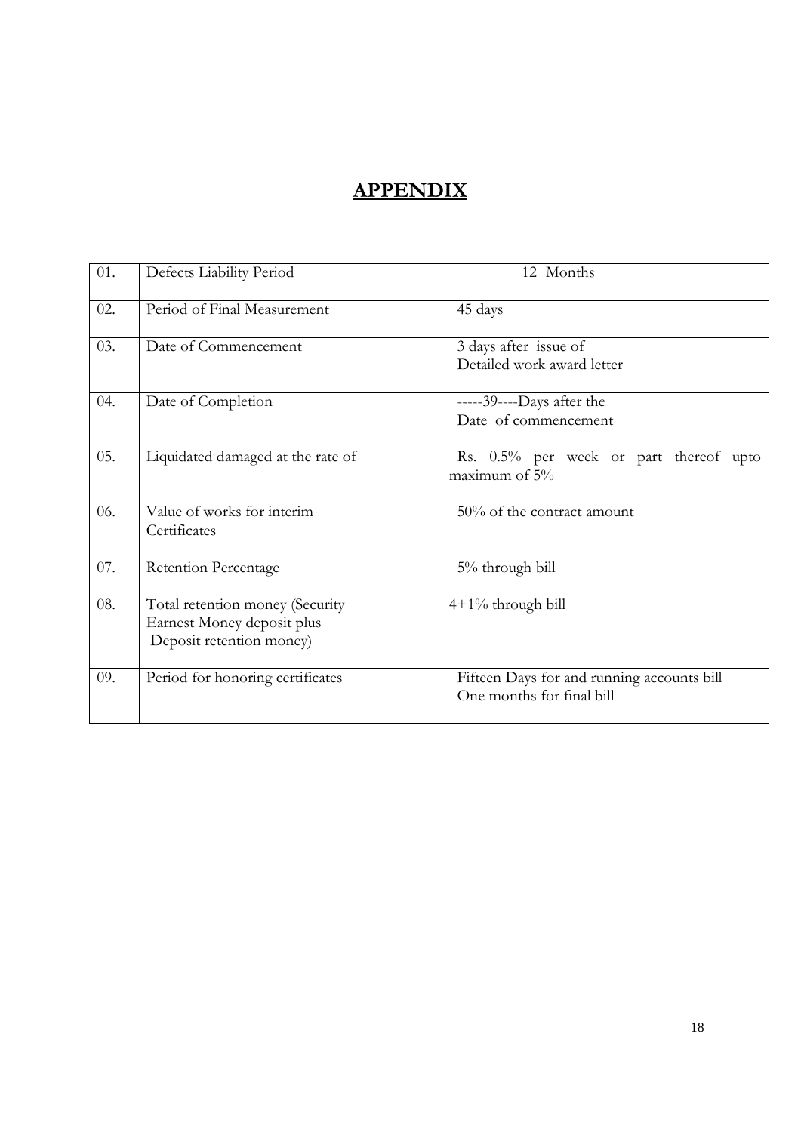# **APPENDIX**

| 01. | Defects Liability Period                                                                  | 12 Months                                                               |
|-----|-------------------------------------------------------------------------------------------|-------------------------------------------------------------------------|
| 02. | Period of Final Measurement                                                               | 45 days                                                                 |
| 03. | Date of Commencement                                                                      | 3 days after issue of<br>Detailed work award letter                     |
| 04. | Date of Completion                                                                        | -----39----Days after the<br>Date of commencement                       |
| 05. | Liquidated damaged at the rate of                                                         | Rs. 0.5% per week or part thereof upto<br>maximum of $5\%$              |
| 06. | Value of works for interim<br>Certificates                                                | 50% of the contract amount                                              |
| 07. | <b>Retention Percentage</b>                                                               | 5% through bill                                                         |
| 08. | Total retention money (Security<br>Earnest Money deposit plus<br>Deposit retention money) | $4+1\%$ through bill                                                    |
| 09. | Period for honoring certificates                                                          | Fifteen Days for and running accounts bill<br>One months for final bill |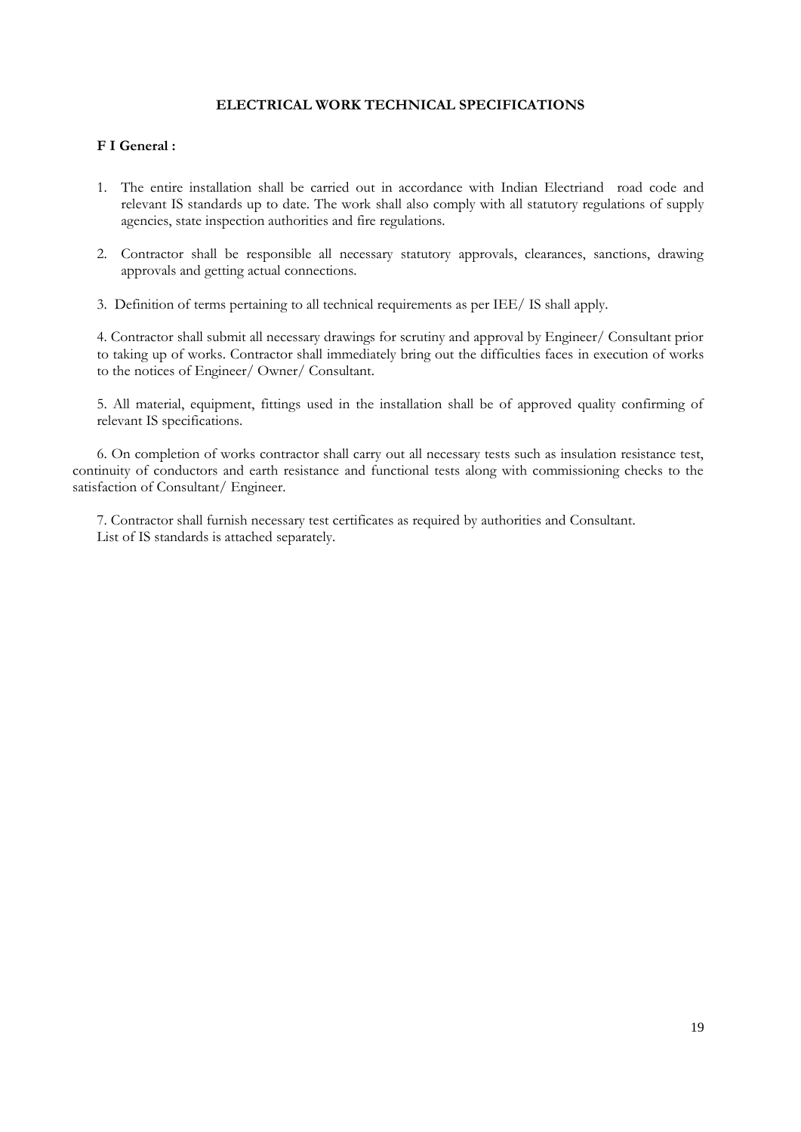### **ELECTRICAL WORK TECHNICAL SPECIFICATIONS**

### **F I General :**

- 1. The entire installation shall be carried out in accordance with Indian Electriand road code and relevant IS standards up to date. The work shall also comply with all statutory regulations of supply agencies, state inspection authorities and fire regulations.
- 2. Contractor shall be responsible all necessary statutory approvals, clearances, sanctions, drawing approvals and getting actual connections.
- 3. Definition of terms pertaining to all technical requirements as per IEE/ IS shall apply.

4. Contractor shall submit all necessary drawings for scrutiny and approval by Engineer/ Consultant prior to taking up of works. Contractor shall immediately bring out the difficulties faces in execution of works to the notices of Engineer/ Owner/ Consultant.

5. All material, equipment, fittings used in the installation shall be of approved quality confirming of relevant IS specifications.

6. On completion of works contractor shall carry out all necessary tests such as insulation resistance test, continuity of conductors and earth resistance and functional tests along with commissioning checks to the satisfaction of Consultant/ Engineer.

7. Contractor shall furnish necessary test certificates as required by authorities and Consultant. List of IS standards is attached separately.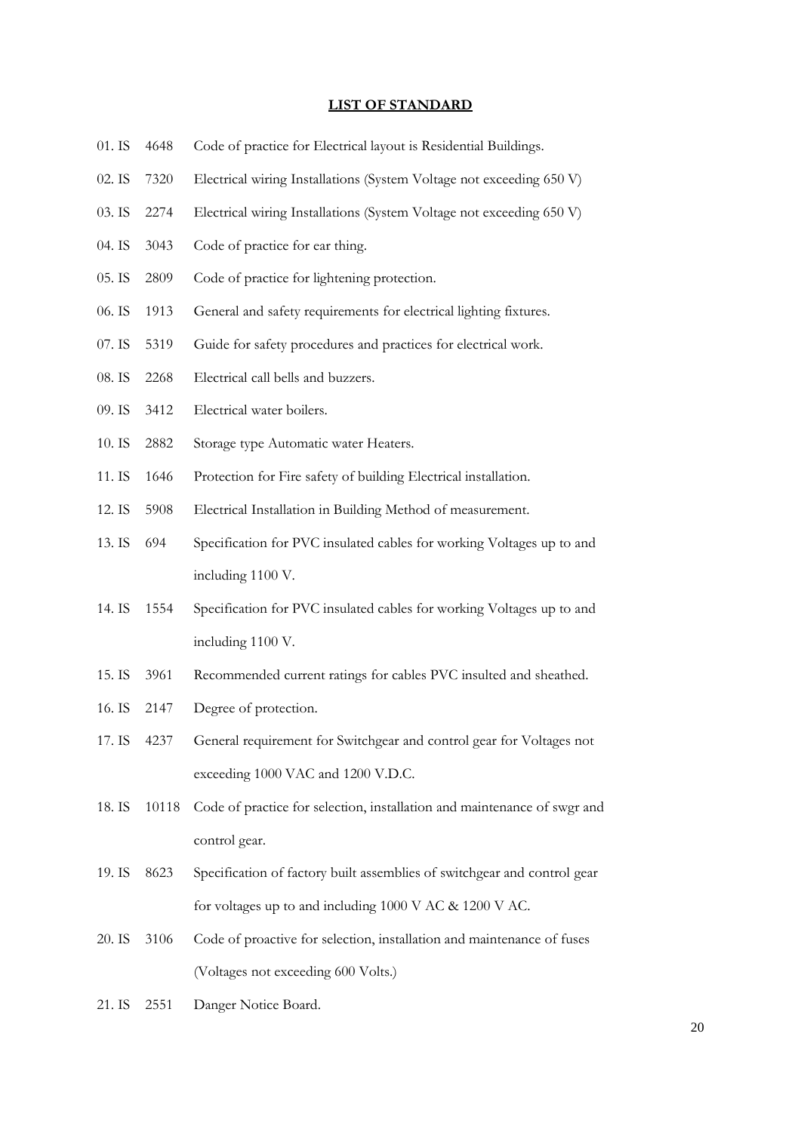### **LIST OF STANDARD**

- 01. IS 4648 Code of practice for Electrical layout is Residential Buildings.
- 02. IS 7320 Electrical wiring Installations (System Voltage not exceeding 650 V)
- 03. IS 2274 Electrical wiring Installations (System Voltage not exceeding 650 V)
- 04. IS 3043 Code of practice for ear thing.
- 05. IS 2809 Code of practice for lightening protection.
- 06. IS 1913 General and safety requirements for electrical lighting fixtures.
- 07. IS 5319 Guide for safety procedures and practices for electrical work.
- 08. IS 2268 Electrical call bells and buzzers.
- 09. IS 3412 Electrical water boilers.
- 10. IS 2882 Storage type Automatic water Heaters.
- 11. IS 1646 Protection for Fire safety of building Electrical installation.
- 12. IS 5908 Electrical Installation in Building Method of measurement.
- 13. IS 694 Specification for PVC insulated cables for working Voltages up to and including 1100 V.
- 14. IS 1554 Specification for PVC insulated cables for working Voltages up to and including 1100 V.
- 15. IS 3961 Recommended current ratings for cables PVC insulted and sheathed.
- 16. IS 2147 Degree of protection.
- 17. IS 4237 General requirement for Switchgear and control gear for Voltages not exceeding 1000 VAC and 1200 V.D.C.
- 18. IS 10118 Code of practice for selection, installation and maintenance of swgr and control gear.
- 19. IS 8623 Specification of factory built assemblies of switchgear and control gear for voltages up to and including 1000 V AC & 1200 V AC.
- 20. IS 3106 Code of proactive for selection, installation and maintenance of fuses (Voltages not exceeding 600 Volts.)
- 21. IS 2551 Danger Notice Board.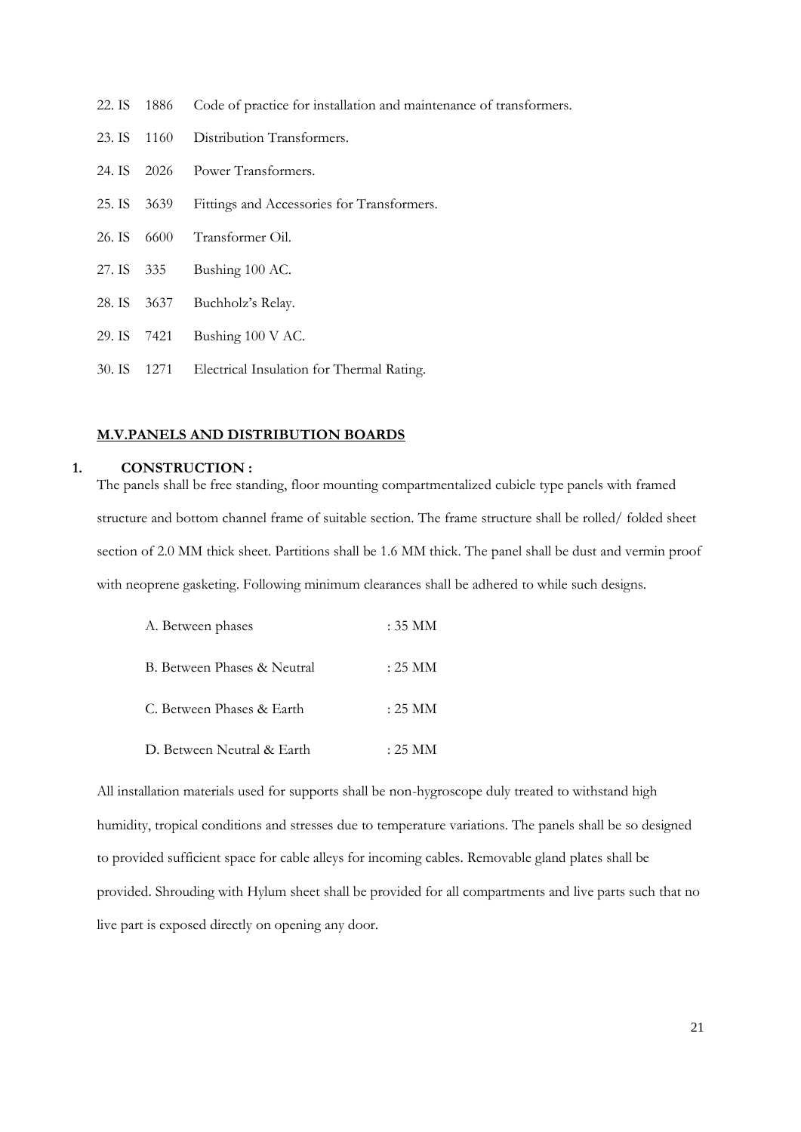|  |  | 22. IS 1886 Code of practice for installation and maintenance of transformers. |  |  |  |
|--|--|--------------------------------------------------------------------------------|--|--|--|
|--|--|--------------------------------------------------------------------------------|--|--|--|

- 23. IS 1160 Distribution Transformers.
- 24. IS 2026 Power Transformers.
- 25. IS 3639 Fittings and Accessories for Transformers.
- 26. IS 6600 Transformer Oil.
- 27. IS 335 Bushing 100 AC.
- 28. IS 3637 Buchholz's Relay.
- 29. IS 7421 Bushing 100 V AC.
- 30. IS 1271 Electrical Insulation for Thermal Rating.

### **M.V.PANELS AND DISTRIBUTION BOARDS**

### **1. CONSTRUCTION :**

The panels shall be free standing, floor mounting compartmentalized cubicle type panels with framed structure and bottom channel frame of suitable section. The frame structure shall be rolled/ folded sheet section of 2.0 MM thick sheet. Partitions shall be 1.6 MM thick. The panel shall be dust and vermin proof with neoprene gasketing. Following minimum clearances shall be adhered to while such designs.

| A. Between phases           | : 35 MM           |
|-----------------------------|-------------------|
| B. Between Phases & Neutral | : 25 MM           |
| C. Between Phases & Earth   | $:25~\mathrm{MM}$ |
| D. Between Neutral & Earth  | : 25 MM           |

All installation materials used for supports shall be non-hygroscope duly treated to withstand high humidity, tropical conditions and stresses due to temperature variations. The panels shall be so designed to provided sufficient space for cable alleys for incoming cables. Removable gland plates shall be provided. Shrouding with Hylum sheet shall be provided for all compartments and live parts such that no live part is exposed directly on opening any door.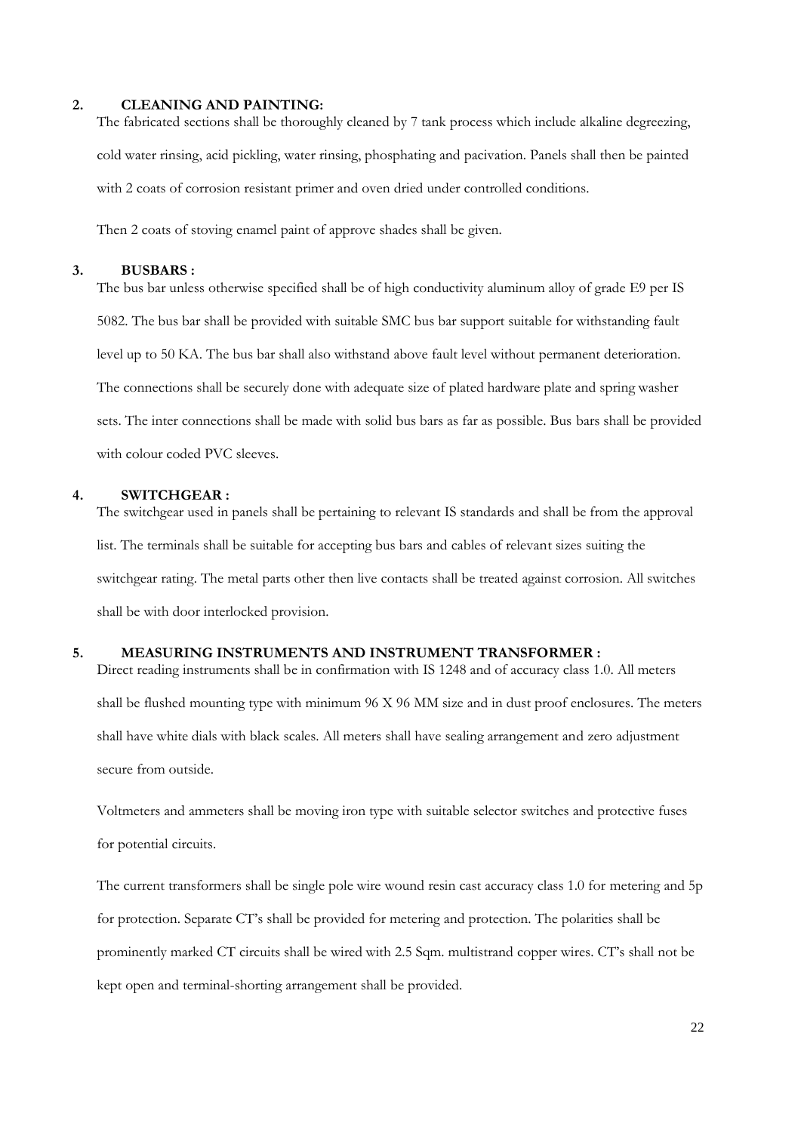#### **2. CLEANING AND PAINTING:**

The fabricated sections shall be thoroughly cleaned by 7 tank process which include alkaline degreezing, cold water rinsing, acid pickling, water rinsing, phosphating and pacivation. Panels shall then be painted with 2 coats of corrosion resistant primer and oven dried under controlled conditions.

Then 2 coats of stoving enamel paint of approve shades shall be given.

#### **3. BUSBARS :**

The bus bar unless otherwise specified shall be of high conductivity aluminum alloy of grade E9 per IS 5082. The bus bar shall be provided with suitable SMC bus bar support suitable for withstanding fault level up to 50 KA. The bus bar shall also withstand above fault level without permanent deterioration. The connections shall be securely done with adequate size of plated hardware plate and spring washer sets. The inter connections shall be made with solid bus bars as far as possible. Bus bars shall be provided with colour coded PVC sleeves.

### **4. SWITCHGEAR :**

The switchgear used in panels shall be pertaining to relevant IS standards and shall be from the approval list. The terminals shall be suitable for accepting bus bars and cables of relevant sizes suiting the switchgear rating. The metal parts other then live contacts shall be treated against corrosion. All switches shall be with door interlocked provision.

### **5. MEASURING INSTRUMENTS AND INSTRUMENT TRANSFORMER :**

Direct reading instruments shall be in confirmation with IS 1248 and of accuracy class 1.0. All meters shall be flushed mounting type with minimum 96 X 96 MM size and in dust proof enclosures. The meters shall have white dials with black scales. All meters shall have sealing arrangement and zero adjustment secure from outside.

Voltmeters and ammeters shall be moving iron type with suitable selector switches and protective fuses for potential circuits.

The current transformers shall be single pole wire wound resin cast accuracy class 1.0 for metering and 5p for protection. Separate CT's shall be provided for metering and protection. The polarities shall be prominently marked CT circuits shall be wired with 2.5 Sqm. multistrand copper wires. CT's shall not be kept open and terminal-shorting arrangement shall be provided.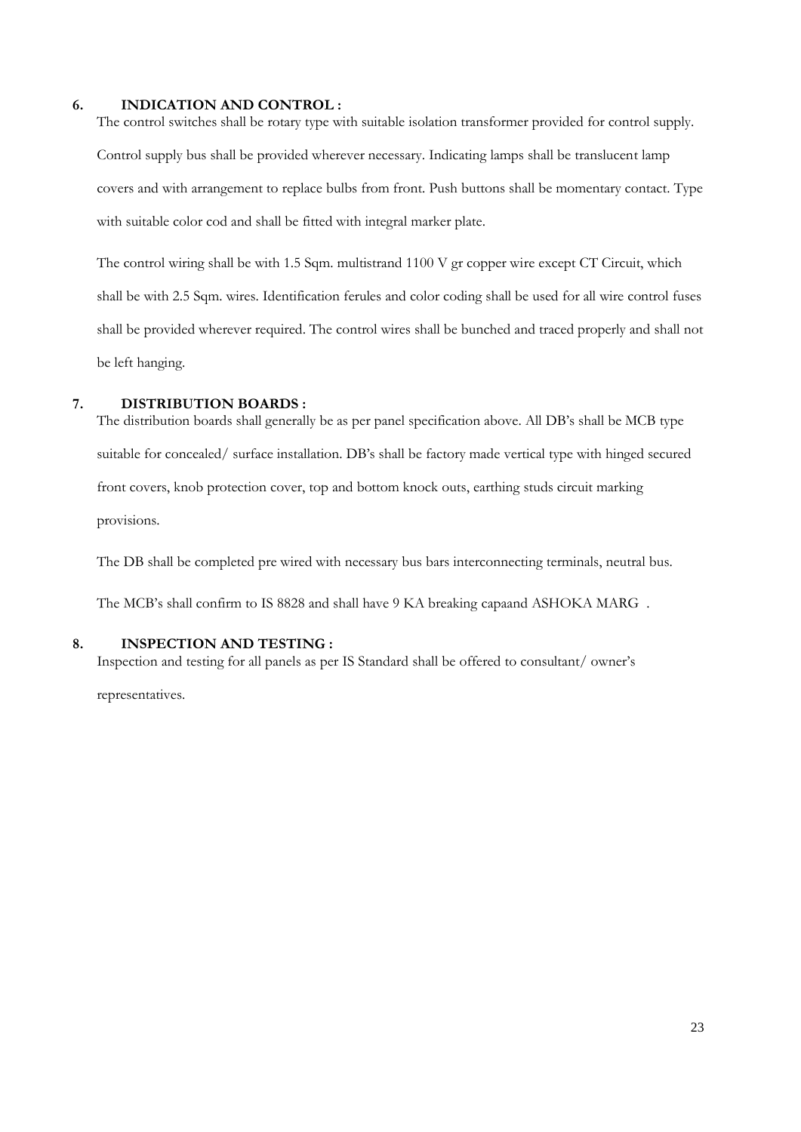### **6. INDICATION AND CONTROL :**

The control switches shall be rotary type with suitable isolation transformer provided for control supply. Control supply bus shall be provided wherever necessary. Indicating lamps shall be translucent lamp covers and with arrangement to replace bulbs from front. Push buttons shall be momentary contact. Type with suitable color cod and shall be fitted with integral marker plate.

The control wiring shall be with 1.5 Sqm. multistrand 1100 V gr copper wire except CT Circuit, which shall be with 2.5 Sqm. wires. Identification ferules and color coding shall be used for all wire control fuses shall be provided wherever required. The control wires shall be bunched and traced properly and shall not be left hanging.

# **7. DISTRIBUTION BOARDS :**

The distribution boards shall generally be as per panel specification above. All DB's shall be MCB type suitable for concealed/ surface installation. DB's shall be factory made vertical type with hinged secured front covers, knob protection cover, top and bottom knock outs, earthing studs circuit marking provisions.

The DB shall be completed pre wired with necessary bus bars interconnecting terminals, neutral bus.

The MCB's shall confirm to IS 8828 and shall have 9 KA breaking capaand ASHOKA MARG .

# **8. INSPECTION AND TESTING :**

Inspection and testing for all panels as per IS Standard shall be offered to consultant/ owner's

representatives.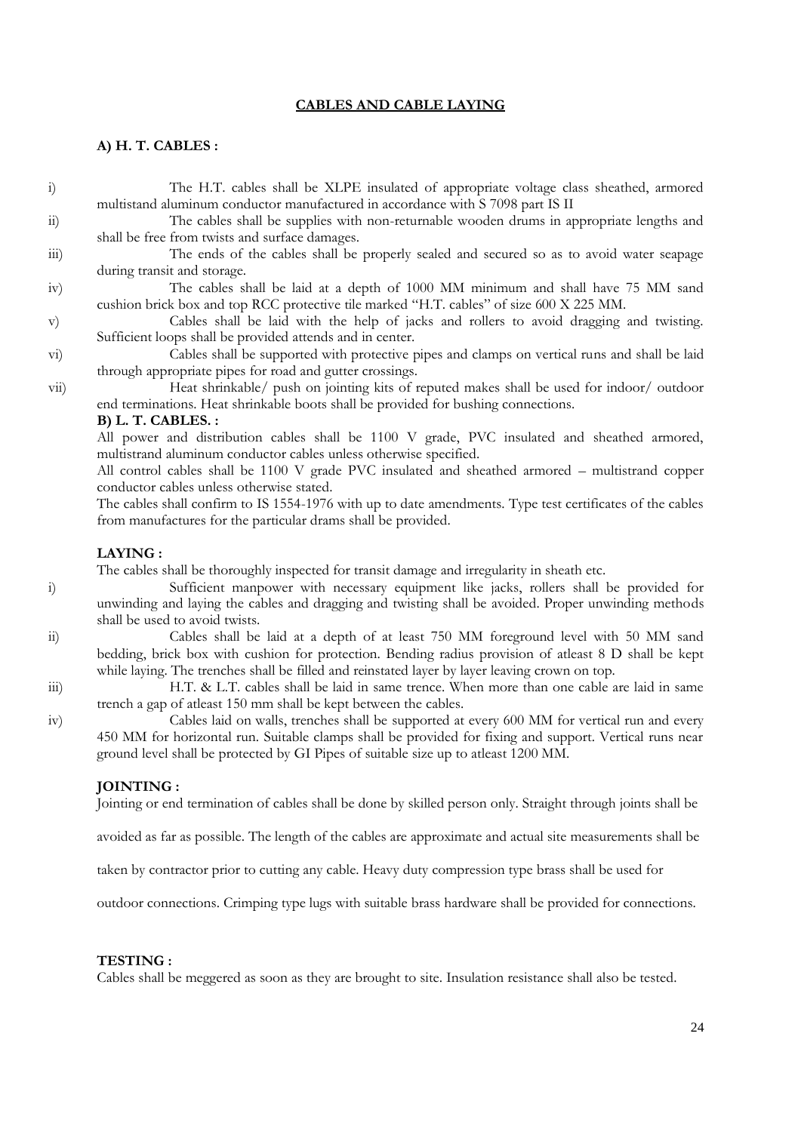### **CABLES AND CABLE LAYING**

### **A) H. T. CABLES :**

i) The H.T. cables shall be XLPE insulated of appropriate voltage class sheathed, armored multistand aluminum conductor manufactured in accordance with S 7098 part IS II

ii) The cables shall be supplies with non-returnable wooden drums in appropriate lengths and shall be free from twists and surface damages.

iii) The ends of the cables shall be properly sealed and secured so as to avoid water seapage during transit and storage.

### iv) The cables shall be laid at a depth of 1000 MM minimum and shall have 75 MM sand cushion brick box and top RCC protective tile marked "H.T. cables" of size 600 X 225 MM.

v) Cables shall be laid with the help of jacks and rollers to avoid dragging and twisting. Sufficient loops shall be provided attends and in center.

vi) Cables shall be supported with protective pipes and clamps on vertical runs and shall be laid through appropriate pipes for road and gutter crossings.

vii) Heat shrinkable/ push on jointing kits of reputed makes shall be used for indoor/ outdoor end terminations. Heat shrinkable boots shall be provided for bushing connections.

#### **B) L. T. CABLES. :**

All power and distribution cables shall be 1100 V grade, PVC insulated and sheathed armored, multistrand aluminum conductor cables unless otherwise specified.

All control cables shall be 1100 V grade PVC insulated and sheathed armored – multistrand copper conductor cables unless otherwise stated.

The cables shall confirm to IS 1554-1976 with up to date amendments. Type test certificates of the cables from manufactures for the particular drams shall be provided.

### **LAYING :**

The cables shall be thoroughly inspected for transit damage and irregularity in sheath etc.

i) Sufficient manpower with necessary equipment like jacks, rollers shall be provided for unwinding and laying the cables and dragging and twisting shall be avoided. Proper unwinding methods shall be used to avoid twists.

ii) Cables shall be laid at a depth of at least 750 MM foreground level with 50 MM sand bedding, brick box with cushion for protection. Bending radius provision of atleast 8 D shall be kept while laying. The trenches shall be filled and reinstated layer by layer leaving crown on top.

iii) H.T. & L.T. cables shall be laid in same trence. When more than one cable are laid in same trench a gap of atleast 150 mm shall be kept between the cables.

iv) Cables laid on walls, trenches shall be supported at every 600 MM for vertical run and every 450 MM for horizontal run. Suitable clamps shall be provided for fixing and support. Vertical runs near ground level shall be protected by GI Pipes of suitable size up to atleast 1200 MM.

#### **JOINTING :**

Jointing or end termination of cables shall be done by skilled person only. Straight through joints shall be

avoided as far as possible. The length of the cables are approximate and actual site measurements shall be

taken by contractor prior to cutting any cable. Heavy duty compression type brass shall be used for

outdoor connections. Crimping type lugs with suitable brass hardware shall be provided for connections.

### **TESTING :**

Cables shall be meggered as soon as they are brought to site. Insulation resistance shall also be tested.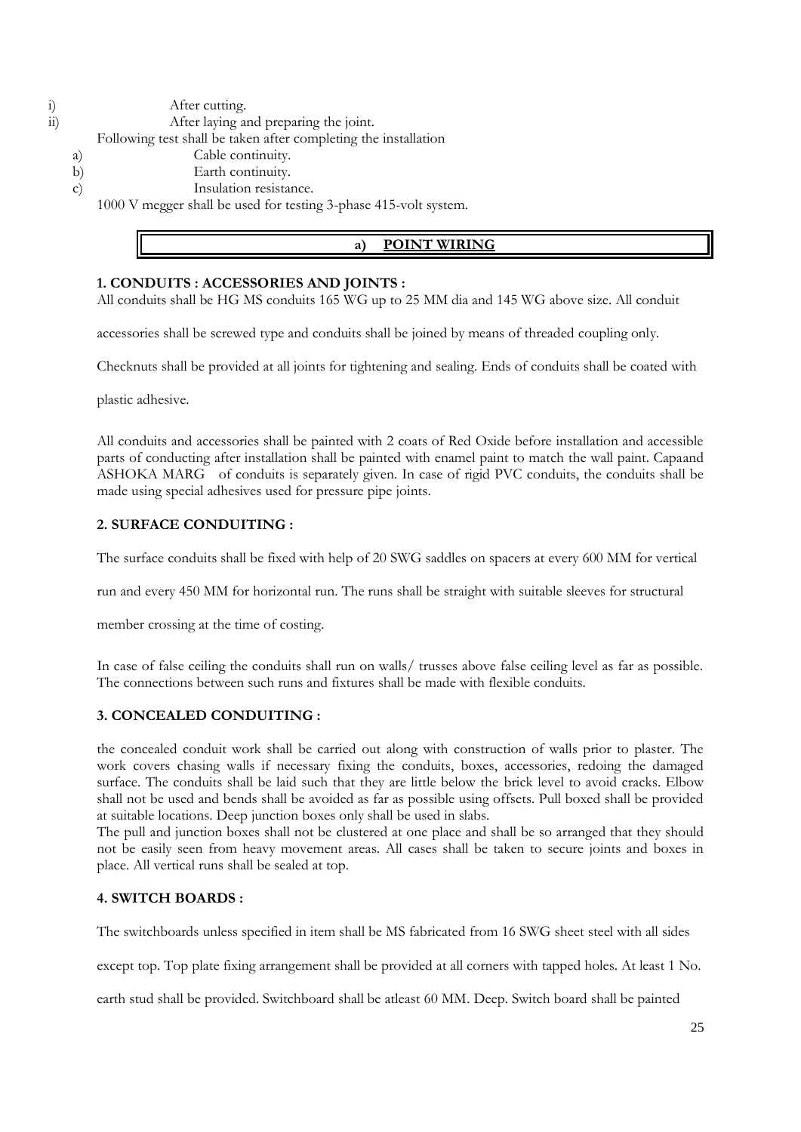i) After cutting.

ii) After laying and preparing the joint. Following test shall be taken after completing the installation

a) Cable continuity.

- b) Earth continuity.
- c) Insulation resistance.

1000 V megger shall be used for testing 3-phase 415-volt system.

# **a) POINT WIRING**

# **1. CONDUITS : ACCESSORIES AND JOINTS :**

All conduits shall be HG MS conduits 165 WG up to 25 MM dia and 145 WG above size. All conduit

accessories shall be screwed type and conduits shall be joined by means of threaded coupling only.

Checknuts shall be provided at all joints for tightening and sealing. Ends of conduits shall be coated with

plastic adhesive.

All conduits and accessories shall be painted with 2 coats of Red Oxide before installation and accessible parts of conducting after installation shall be painted with enamel paint to match the wall paint. Capaand ASHOKA MARG of conduits is separately given. In case of rigid PVC conduits, the conduits shall be made using special adhesives used for pressure pipe joints.

# **2. SURFACE CONDUITING :**

The surface conduits shall be fixed with help of 20 SWG saddles on spacers at every 600 MM for vertical

run and every 450 MM for horizontal run. The runs shall be straight with suitable sleeves for structural

member crossing at the time of costing.

In case of false ceiling the conduits shall run on walls/ trusses above false ceiling level as far as possible. The connections between such runs and fixtures shall be made with flexible conduits.

# **3. CONCEALED CONDUITING :**

the concealed conduit work shall be carried out along with construction of walls prior to plaster. The work covers chasing walls if necessary fixing the conduits, boxes, accessories, redoing the damaged surface. The conduits shall be laid such that they are little below the brick level to avoid cracks. Elbow shall not be used and bends shall be avoided as far as possible using offsets. Pull boxed shall be provided at suitable locations. Deep junction boxes only shall be used in slabs.

The pull and junction boxes shall not be clustered at one place and shall be so arranged that they should not be easily seen from heavy movement areas. All cases shall be taken to secure joints and boxes in place. All vertical runs shall be sealed at top.

# **4. SWITCH BOARDS :**

The switchboards unless specified in item shall be MS fabricated from 16 SWG sheet steel with all sides

except top. Top plate fixing arrangement shall be provided at all corners with tapped holes. At least 1 No.

earth stud shall be provided. Switchboard shall be atleast 60 MM. Deep. Switch board shall be painted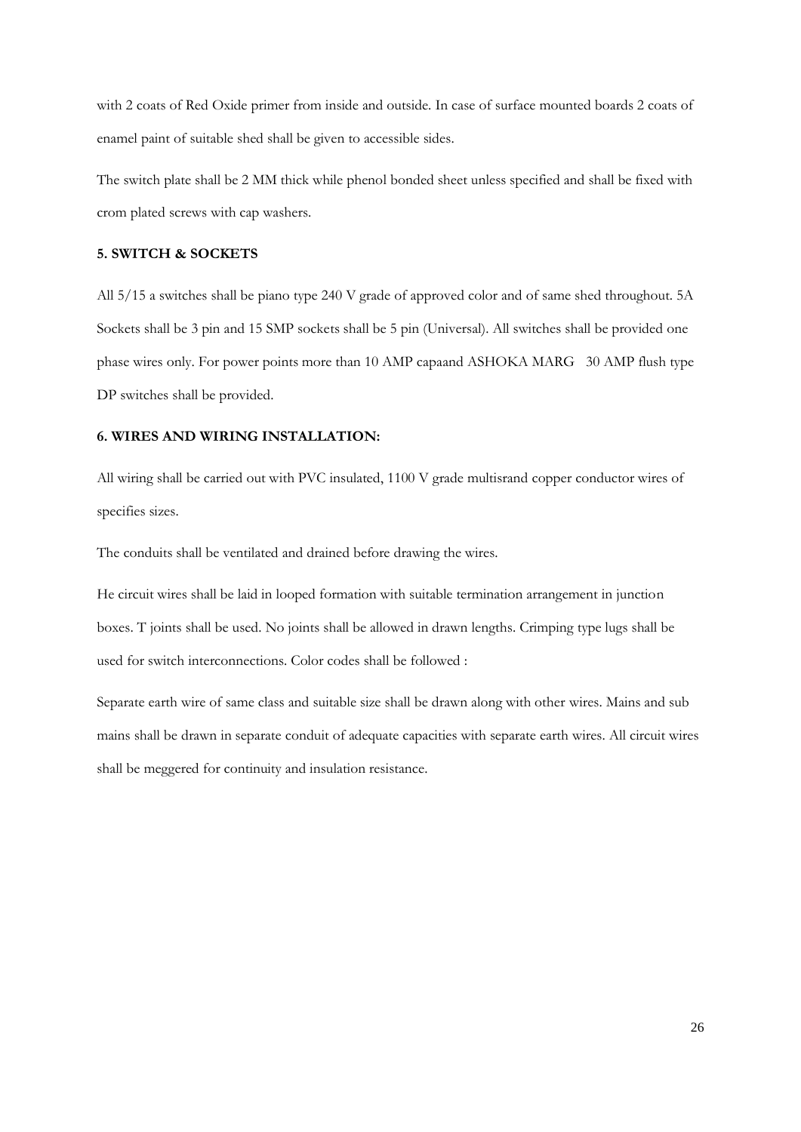with 2 coats of Red Oxide primer from inside and outside. In case of surface mounted boards 2 coats of enamel paint of suitable shed shall be given to accessible sides.

The switch plate shall be 2 MM thick while phenol bonded sheet unless specified and shall be fixed with crom plated screws with cap washers.

### **5. SWITCH & SOCKETS**

All 5/15 a switches shall be piano type 240 V grade of approved color and of same shed throughout. 5A Sockets shall be 3 pin and 15 SMP sockets shall be 5 pin (Universal). All switches shall be provided one phase wires only. For power points more than 10 AMP capaand ASHOKA MARG 30 AMP flush type DP switches shall be provided.

### **6. WIRES AND WIRING INSTALLATION:**

All wiring shall be carried out with PVC insulated, 1100 V grade multisrand copper conductor wires of specifies sizes.

The conduits shall be ventilated and drained before drawing the wires.

He circuit wires shall be laid in looped formation with suitable termination arrangement in junction boxes. T joints shall be used. No joints shall be allowed in drawn lengths. Crimping type lugs shall be used for switch interconnections. Color codes shall be followed :

Separate earth wire of same class and suitable size shall be drawn along with other wires. Mains and sub mains shall be drawn in separate conduit of adequate capacities with separate earth wires. All circuit wires shall be meggered for continuity and insulation resistance.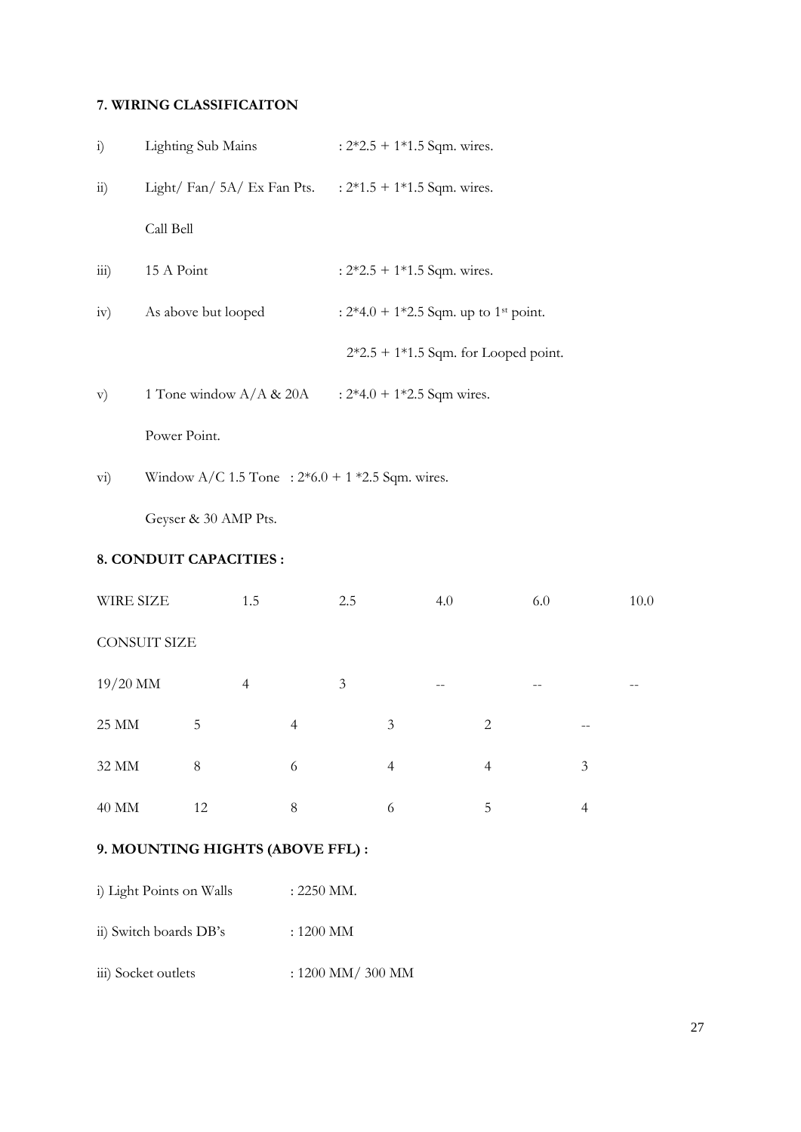# **7. WIRING CLASSIFICAITON**

| $\ddot{1}$             | <b>Lighting Sub Mains</b>                                             | : $2*2.5 + 1*1.5$ Sqm. wires.                       |
|------------------------|-----------------------------------------------------------------------|-----------------------------------------------------|
| $\overline{11}$ )      | Light/ Fan/ $5A$ / Ex Fan Pts. $\therefore$ 2*1.5 + 1*1.5 Sqm. wires. |                                                     |
|                        | Call Bell                                                             |                                                     |
| $\overline{111}$       | 15 A Point                                                            | : $2*2.5 + 1*1.5$ Sqm. wires.                       |
| iv)                    | As above but looped                                                   | : $2*4.0 + 1*2.5$ Sqm. up to 1 <sup>st</sup> point. |
|                        |                                                                       | $2*2.5 + 1*1.5$ Sqm. for Looped point.              |
| V)                     | 1 Tone window $A/A \& 20A$                                            | : $2*4.0 + 1*2.5$ Sqm wires.                        |
|                        | Power Point.                                                          |                                                     |
| $\overline{\text{vi}}$ | Window A/C 1.5 Tone : $2*6.0 + 1*2.5$ Sqm. wires.                     |                                                     |

Geyser & 30 AMP Pts.

# **8. CONDUIT CAPACITIES :**

| WIRE SIZE           |    | 1.5            |                | 2.5 |                | 4.0 |                | 6.0 |                | 10.0 |
|---------------------|----|----------------|----------------|-----|----------------|-----|----------------|-----|----------------|------|
| <b>CONSUIT SIZE</b> |    |                |                |     |                |     |                |     |                |      |
| $19/20$ MM          |    | $\overline{4}$ |                | 3   |                |     |                |     |                |      |
| <b>25 MM</b>        | 5  |                | $\overline{4}$ |     | 3              |     | $\overline{2}$ |     |                |      |
| 32 MM               | 8  |                | 6              |     | $\overline{4}$ |     | $\overline{4}$ |     | 3              |      |
| 40 MM               | 12 |                | 8              |     | 6              |     | 5              |     | $\overline{4}$ |      |

# **9. MOUNTING HIGHTS (ABOVE FFL) :**

- i) Light Points on Walls : 2250 MM.
- ii) Switch boards DB's : 1200 MM
- iii) Socket outlets : 1200 MM/ 300 MM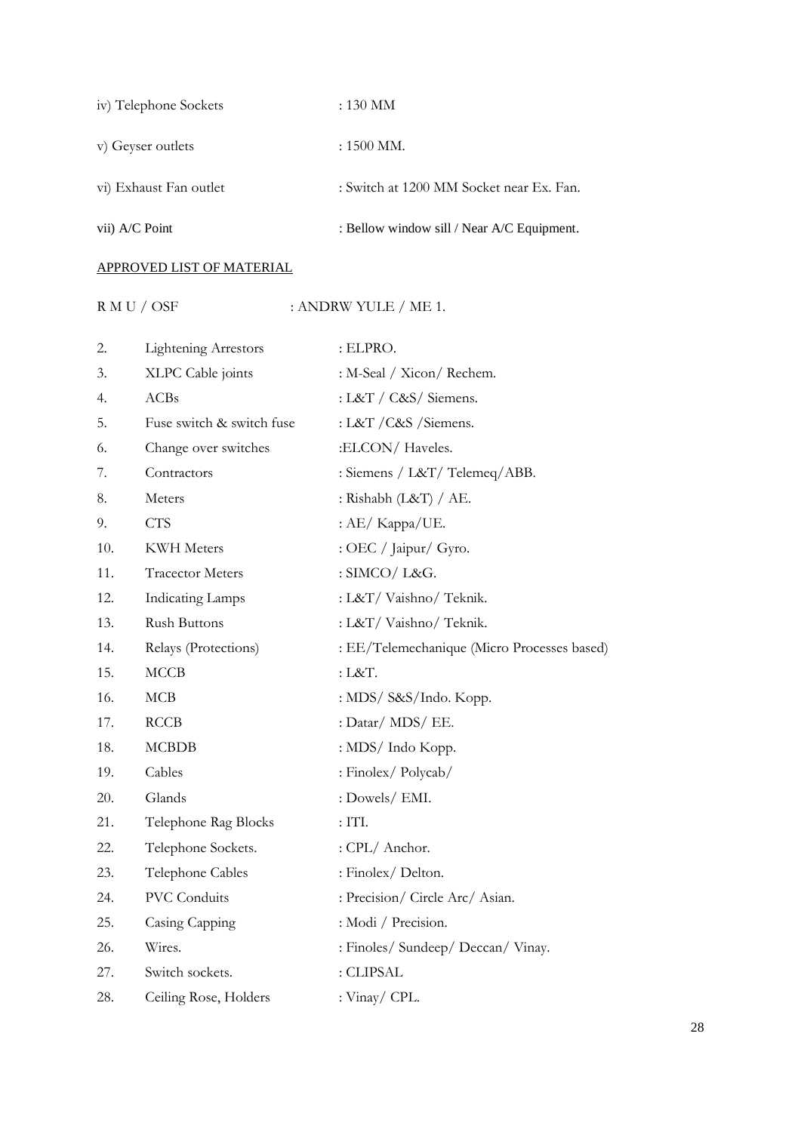| iv) Telephone Sockets  | $:130$ MM                                  |
|------------------------|--------------------------------------------|
| v) Geyser outlets      | $: 1500$ MM.                               |
| vi) Exhaust Fan outlet | : Switch at 1200 MM Socket near Ex. Fan.   |
| vii) A/C Point         | : Bellow window sill / Near A/C Equipment. |

# APPROVED LIST OF MATERIAL

# ${\rm R\ M\ U\ / \ OSF} \qquad \qquad : {\rm ANDRW\ YULE\ / \ ME\ 1.}$

| 2.  | <b>Lightening Arrestors</b> | : ELPRO.                                    |
|-----|-----------------------------|---------------------------------------------|
| 3.  | XLPC Cable joints           | : M-Seal / Xicon/ Rechem.                   |
| 4.  | <b>ACBs</b>                 | : L&T / C&S/ Siemens.                       |
| 5.  | Fuse switch & switch fuse   | : L&T / C&S / Siemens.                      |
| 6.  | Change over switches        | :ELCON/Haveles.                             |
| 7.  | Contractors                 | : Siemens / L&T/ Telemeq/ABB.               |
| 8.  | Meters                      | : Rishabh $(L&T) / AE$ .                    |
| 9.  | <b>CTS</b>                  | : AE/ Kappa/UE.                             |
| 10. | <b>KWH</b> Meters           | : OEC / Jaipur/ Gyro.                       |
| 11. | <b>Tracector Meters</b>     | : SIMCO/ L&G.                               |
| 12. | <b>Indicating Lamps</b>     | : L&T/ Vaishno/ Teknik.                     |
| 13. | <b>Rush Buttons</b>         | : L&T/ Vaishno/ Teknik.                     |
| 14. | Relays (Protections)        | : EE/Telemechanique (Micro Processes based) |
| 15. | <b>MCCB</b>                 | : L&T.                                      |
| 16. | MCB                         | : MDS/ S&S/Indo. Kopp.                      |
| 17. | <b>RCCB</b>                 | : Datar/ MDS/ EE.                           |
| 18. | <b>MCBDB</b>                | : MDS/ Indo Kopp.                           |
| 19. | Cables                      | : Finolex/Polycab/                          |
| 20. | Glands                      | : Dowels/ EMI.                              |
| 21. | Telephone Rag Blocks        | : ITL                                       |
| 22. | Telephone Sockets.          | : CPL/ Anchor.                              |
| 23. | Telephone Cables            | : Finolex/Delton.                           |
| 24. | <b>PVC</b> Conduits         | : Precision/ Circle Arc/ Asian.             |
| 25. | Casing Capping              | : Modi / Precision.                         |
| 26. | Wires.                      | : Finoles/ Sundeep/ Deccan/ Vinay.          |
| 27. | Switch sockets.             | : CLIPSAL                                   |
| 28. | Ceiling Rose, Holders       | : Vinay/ CPL.                               |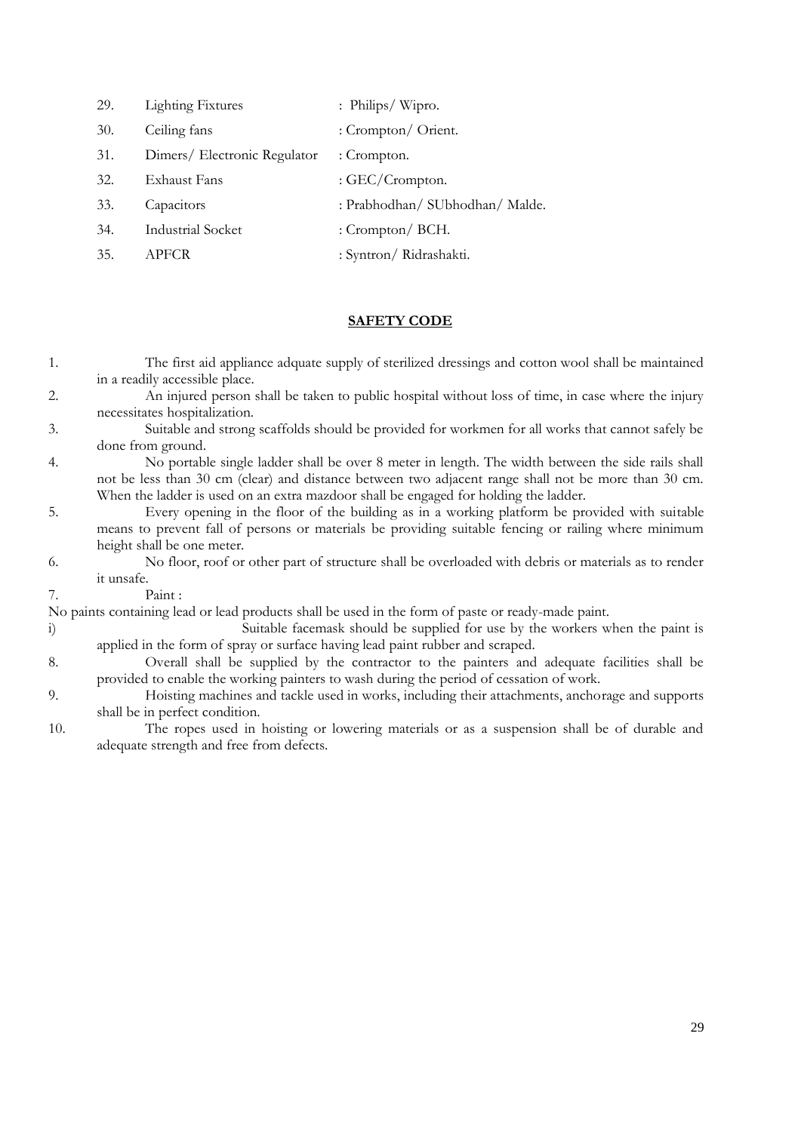| 29. | <b>Lighting Fixtures</b>     | : Philips/Wipro.                |
|-----|------------------------------|---------------------------------|
| 30. | Ceiling fans                 | : Crompton/ Orient.             |
| 31. | Dimers/ Electronic Regulator | : Crompton.                     |
| 32. | Exhaust Fans                 | : GEC/Crompton.                 |
| 33. | Capacitors                   | : Prabhodhan/ SUbhodhan/ Malde. |
| 34. | <b>Industrial Socket</b>     | : Crompton/ $BCH$ .             |
| 35. | APFCR                        | : Syntron/ Ridrashakti.         |

# **SAFETY CODE**

| 1.                                                                                                 | The first aid appliance adquate supply of sterilized dressings and cotton wool shall be maintained   |  |
|----------------------------------------------------------------------------------------------------|------------------------------------------------------------------------------------------------------|--|
|                                                                                                    | in a readily accessible place.                                                                       |  |
| 2.                                                                                                 | An injured person shall be taken to public hospital without loss of time, in case where the injury   |  |
|                                                                                                    | necessitates hospitalization.                                                                        |  |
| 3.                                                                                                 | Suitable and strong scaffolds should be provided for workmen for all works that cannot safely be     |  |
|                                                                                                    | done from ground.                                                                                    |  |
| 4.                                                                                                 | No portable single ladder shall be over 8 meter in length. The width between the side rails shall    |  |
|                                                                                                    | not be less than 30 cm (clear) and distance between two adjacent range shall not be more than 30 cm. |  |
|                                                                                                    | When the ladder is used on an extra mazdoor shall be engaged for holding the ladder.                 |  |
| 5.                                                                                                 | Every opening in the floor of the building as in a working platform be provided with suitable        |  |
|                                                                                                    | means to prevent fall of persons or materials be providing suitable fencing or railing where minimum |  |
|                                                                                                    | height shall be one meter.                                                                           |  |
| 6.                                                                                                 | No floor, roof or other part of structure shall be overloaded with debris or materials as to render  |  |
|                                                                                                    | it unsafe.                                                                                           |  |
| 7.                                                                                                 | Paint:                                                                                               |  |
| No paints containing lead or lead products shall be used in the form of paste or ready-made paint. |                                                                                                      |  |
| $\ddot{i}$                                                                                         | Suitable facemask should be supplied for use by the workers when the paint is                        |  |
|                                                                                                    | applied in the form of spray or surface having lead paint rubber and scraped.                        |  |
| 8.                                                                                                 | Overall shall be supplied by the contractor to the painters and adequate facilities shall be         |  |
|                                                                                                    | provided to enable the working painters to wash during the period of cessation of work.              |  |
| 9.                                                                                                 | Hoisting machines and tackle used in works, including their attachments, anchorage and supports      |  |
|                                                                                                    | shall be in perfect condition.                                                                       |  |
| 10.                                                                                                | The ropes used in hoisting or lowering materials or as a suspension shall be of durable and          |  |
|                                                                                                    | adequate strength and free from defects.                                                             |  |